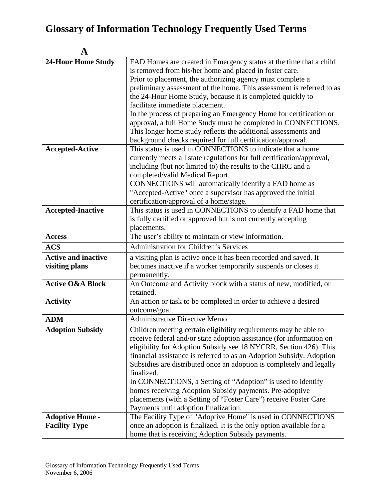| A                           |                                                                               |
|-----------------------------|-------------------------------------------------------------------------------|
| <b>24-Hour Home Study</b>   | FAD Homes are created in Emergency status at the time that a child            |
|                             | is removed from his/her home and placed in foster care.                       |
|                             | Prior to placement, the authorizing agency must complete a                    |
|                             | preliminary assessment of the home. This assessment is referred to as         |
|                             | the 24-Hour Home Study, because it is completed quickly to                    |
|                             | facilitate immediate placement.                                               |
|                             | In the process of preparing an Emergency Home for certification or            |
|                             | approval, a full Home Study must be completed in CONNECTIONS.                 |
|                             | This longer home study reflects the additional assessments and                |
|                             | background checks required for full certification/approval.                   |
| <b>Accepted-Active</b>      | This status is used in CONNECTIONS to indicate that a home                    |
|                             | currently meets all state regulations for full certification/approval,        |
|                             | including (but not limited to) the results to the CHRC and a                  |
|                             | completed/valid Medical Report.                                               |
|                             | CONNECTIONS will automatically identify a FAD home as                         |
|                             | "Accepted-Active" once a supervisor has approved the initial                  |
|                             | certification/approval of a home/stage.                                       |
| <b>Accepted-Inactive</b>    | This status is used in CONNECTIONS to identify a FAD home that                |
|                             | is fully certified or approved but is not currently accepting<br>placements.  |
| <b>Access</b>               | The user's ability to maintain or view information.                           |
| <b>ACS</b>                  | Administration for Children's Services                                        |
|                             |                                                                               |
| <b>Active and inactive</b>  | a visiting plan is active once it has been recorded and saved. It             |
| visiting plans              | becomes inactive if a worker temporarily suspends or closes it                |
|                             | permanently.                                                                  |
| <b>Active O&amp;A Block</b> | An Outcome and Activity block with a status of new, modified, or<br>retained. |
| <b>Activity</b>             | An action or task to be completed in order to achieve a desired               |
|                             | outcome/goal.                                                                 |
| <b>ADM</b>                  | Administrative Directive Memo                                                 |
| <b>Adoption Subsidy</b>     | Children meeting certain eligibility requirements may be able to              |
|                             | receive federal and/or state adoption assistance (for information on          |
|                             | eligibility for Adoption Subsidy see 18 NYCRR, Section 426). This             |
|                             | financial assistance is referred to as an Adoption Subsidy. Adoption          |
|                             | Subsidies are distributed once an adoption is completely and legally          |
|                             | finalized.                                                                    |
|                             | In CONNECTIONS, a Setting of "Adoption" is used to identify                   |
|                             | homes receiving Adoption Subsidy payments. Pre-adoptive                       |
|                             | placements (with a Setting of "Foster Care") receive Foster Care              |
|                             | Payments until adoption finalization.                                         |
| <b>Adoptive Home -</b>      | The Facility Type of "Adoptive Home" is used in CONNECTIONS                   |
| <b>Facility Type</b>        | once an adoption is finalized. It is the only option available for a          |
|                             | home that is receiving Adoption Subsidy payments.                             |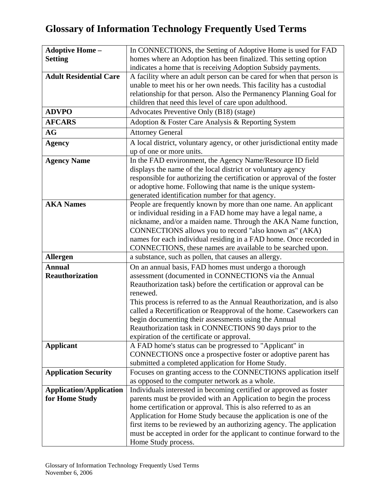| <b>Adoptive Home-</b>          | In CONNECTIONS, the Setting of Adoptive Home is used for FAD                                                                                  |
|--------------------------------|-----------------------------------------------------------------------------------------------------------------------------------------------|
| <b>Setting</b>                 | homes where an Adoption has been finalized. This setting option                                                                               |
|                                | indicates a home that is receiving Adoption Subsidy payments.                                                                                 |
| <b>Adult Residential Care</b>  | A facility where an adult person can be cared for when that person is                                                                         |
|                                | unable to meet his or her own needs. This facility has a custodial                                                                            |
|                                | relationship for that person. Also the Permanency Planning Goal for                                                                           |
|                                | children that need this level of care upon adulthood.                                                                                         |
| <b>ADVPO</b>                   | Advocates Preventive Only (B18) (stage)                                                                                                       |
| <b>AFCARS</b>                  | Adoption & Foster Care Analysis & Reporting System                                                                                            |
| <b>AG</b>                      | <b>Attorney General</b>                                                                                                                       |
| <b>Agency</b>                  | A local district, voluntary agency, or other jurisdictional entity made                                                                       |
|                                | up of one or more units.                                                                                                                      |
| <b>Agency Name</b>             | In the FAD environment, the Agency Name/Resource ID field                                                                                     |
|                                | displays the name of the local district or voluntary agency                                                                                   |
|                                | responsible for authorizing the certification or approval of the foster                                                                       |
|                                | or adoptive home. Following that name is the unique system-                                                                                   |
|                                | generated identification number for that agency.                                                                                              |
| <b>AKA Names</b>               | People are frequently known by more than one name. An applicant                                                                               |
|                                | or individual residing in a FAD home may have a legal name, a                                                                                 |
|                                | nickname, and/or a maiden name. Through the AKA Name function,                                                                                |
|                                | CONNECTIONS allows you to record "also known as" (AKA)                                                                                        |
|                                | names for each individual residing in a FAD home. Once recorded in                                                                            |
|                                | CONNECTIONS, these names are available to be searched upon.                                                                                   |
| <b>Allergen</b>                | a substance, such as pollen, that causes an allergy.                                                                                          |
| <b>Annual</b>                  | On an annual basis, FAD homes must undergo a thorough                                                                                         |
| <b>Reauthorization</b>         | assessment (documented in CONNECTIONS via the Annual                                                                                          |
|                                | Reauthorization task) before the certification or approval can be                                                                             |
|                                | renewed.                                                                                                                                      |
|                                | This process is referred to as the Annual Reauthorization, and is also<br>called a Recertification or Reapproval of the home. Caseworkers can |
|                                | begin documenting their assessments using the Annual                                                                                          |
|                                | Reauthorization task in CONNECTIONS 90 days prior to the                                                                                      |
|                                | expiration of the certificate or approval.                                                                                                    |
| <b>Applicant</b>               | A FAD home's status can be progressed to "Applicant" in                                                                                       |
|                                | CONNECTIONS once a prospective foster or adoptive parent has                                                                                  |
|                                | submitted a completed application for Home Study.                                                                                             |
| <b>Application Security</b>    | Focuses on granting access to the CONNECTIONS application itself                                                                              |
|                                | as opposed to the computer network as a whole.                                                                                                |
| <b>Application/Application</b> | Individuals interested in becoming certified or approved as foster                                                                            |
| for Home Study                 | parents must be provided with an Application to begin the process                                                                             |
|                                | home certification or approval. This is also referred to as an                                                                                |
|                                | Application for Home Study because the application is one of the                                                                              |
|                                | first items to be reviewed by an authorizing agency. The application                                                                          |
|                                | must be accepted in order for the applicant to continue forward to the                                                                        |
|                                | Home Study process.                                                                                                                           |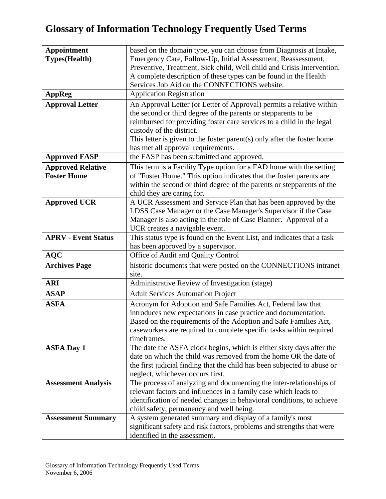| <b>Appointment</b><br>based on the domain type, you can choose from Diagnosis at Intake,                                                                             |  |
|----------------------------------------------------------------------------------------------------------------------------------------------------------------------|--|
| <b>Types</b> (Health)<br>Emergency Care, Follow-Up, Initial Assessment, Reassessment,                                                                                |  |
| Preventive, Treatment, Sick child, Well child and Crisis Intervention.                                                                                               |  |
| A complete description of these types can be found in the Health                                                                                                     |  |
| Services Job Aid on the CONNECTIONS website.                                                                                                                         |  |
| <b>AppReg</b><br><b>Application Registration</b>                                                                                                                     |  |
| <b>Approval Letter</b><br>An Approval Letter (or Letter of Approval) permits a relative within                                                                       |  |
| the second or third degree of the parents or stepparents to be                                                                                                       |  |
| reimbursed for providing foster care services to a child in the legal                                                                                                |  |
| custody of the district.                                                                                                                                             |  |
| This letter is given to the foster parent(s) only after the foster home                                                                                              |  |
| has met all approval requirements.                                                                                                                                   |  |
| the FASP has been submitted and approved.<br><b>Approved FASP</b>                                                                                                    |  |
| <b>Approved Relative</b><br>This term is a Facility Type option for a FAD home with the setting                                                                      |  |
| <b>Foster Home</b><br>of "Foster Home." This option indicates that the foster parents are                                                                            |  |
| within the second or third degree of the parents or stepparents of the                                                                                               |  |
| child they are caring for.                                                                                                                                           |  |
| <b>Approved UCR</b><br>A UCR Assessment and Service Plan that has been approved by the                                                                               |  |
| LDSS Case Manager or the Case Manager's Supervisor if the Case                                                                                                       |  |
| Manager is also acting in the role of Case Planner. Approval of a<br>UCR creates a navigable event.                                                                  |  |
| This status type is found on the Event List, and indicates that a task<br><b>APRV - Event Status</b>                                                                 |  |
| has been approved by a supervisor.                                                                                                                                   |  |
| Office of Audit and Quality Control<br><b>AQC</b>                                                                                                                    |  |
| <b>Archives Page</b><br>historic documents that were posted on the CONNECTIONS intranet                                                                              |  |
| site.                                                                                                                                                                |  |
| Administrative Review of Investigation (stage)<br><b>ARI</b>                                                                                                         |  |
| <b>Adult Services Automation Project</b><br><b>ASAP</b>                                                                                                              |  |
| <b>ASFA</b><br>Acronym for Adoption and Safe Families Act, Federal law that                                                                                          |  |
| introduces new expectations in case practice and documentation.                                                                                                      |  |
| Based on the requirements of the Adoption and Safe Families Act,                                                                                                     |  |
| caseworkers are required to complete specific tasks within required                                                                                                  |  |
| timeframes.                                                                                                                                                          |  |
| The date the ASFA clock begins, which is either sixty days after the<br><b>ASFA Day 1</b>                                                                            |  |
| date on which the child was removed from the home OR the date of                                                                                                     |  |
| the first judicial finding that the child has been subjected to abuse or                                                                                             |  |
| neglect, whichever occurs first.                                                                                                                                     |  |
| The process of analyzing and documenting the inter-relationships of<br><b>Assessment Analysis</b><br>relevant factors and influences in a family case which leads to |  |
| identification of needed changes in behavioral conditions, to achieve                                                                                                |  |
| child safety, permanency and well being.                                                                                                                             |  |
| A system generated summary and display of a family's most<br><b>Assessment Summary</b>                                                                               |  |
| significant safety and risk factors, problems and strengths that were                                                                                                |  |
| identified in the assessment.                                                                                                                                        |  |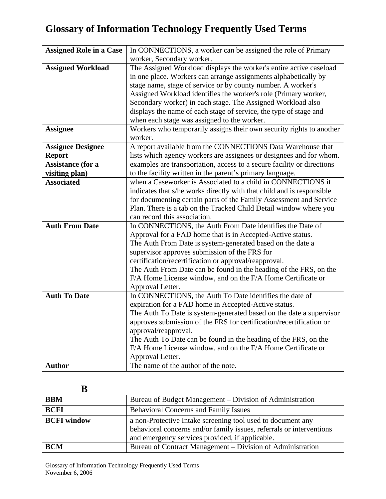| <b>Assigned Role in a Case</b> | In CONNECTIONS, a worker can be assigned the role of Primary           |
|--------------------------------|------------------------------------------------------------------------|
|                                | worker, Secondary worker.                                              |
| <b>Assigned Workload</b>       | The Assigned Workload displays the worker's entire active caseload     |
|                                | in one place. Workers can arrange assignments alphabetically by        |
|                                | stage name, stage of service or by county number. A worker's           |
|                                | Assigned Workload identifies the worker's role (Primary worker,        |
|                                | Secondary worker) in each stage. The Assigned Workload also            |
|                                | displays the name of each stage of service, the type of stage and      |
|                                | when each stage was assigned to the worker.                            |
| <b>Assignee</b>                | Workers who temporarily assigns their own security rights to another   |
|                                | worker.                                                                |
| <b>Assignee Designee</b>       | A report available from the CONNECTIONS Data Warehouse that            |
| <b>Report</b>                  | lists which agency workers are assignees or designees and for whom.    |
| <b>Assistance (for a</b>       | examples are transportation, access to a secure facility or directions |
| visiting plan)                 | to the facility written in the parent's primary language.              |
| <b>Associated</b>              | when a Caseworker is Associated to a child in CONNECTIONS it           |
|                                | indicates that s/he works directly with that child and is responsible  |
|                                | for documenting certain parts of the Family Assessment and Service     |
|                                | Plan. There is a tab on the Tracked Child Detail window where you      |
|                                | can record this association.                                           |
| <b>Auth From Date</b>          | In CONNECTIONS, the Auth From Date identifies the Date of              |
|                                | Approval for a FAD home that is in Accepted-Active status.             |
|                                | The Auth From Date is system-generated based on the date a             |
|                                | supervisor approves submission of the FRS for                          |
|                                | certification/recertification or approval/reapproval.                  |
|                                | The Auth From Date can be found in the heading of the FRS, on the      |
|                                | F/A Home License window, and on the F/A Home Certificate or            |
|                                | Approval Letter.                                                       |
| <b>Auth To Date</b>            | In CONNECTIONS, the Auth To Date identifies the date of                |
|                                | expiration for a FAD home in Accepted-Active status.                   |
|                                | The Auth To Date is system-generated based on the date a supervisor    |
|                                | approves submission of the FRS for certification/recertification or    |
|                                | approval/reapproval.                                                   |
|                                | The Auth To Date can be found in the heading of the FRS, on the        |
|                                | F/A Home License window, and on the F/A Home Certificate or            |
|                                | Approval Letter.                                                       |
| <b>Author</b>                  | The name of the author of the note.                                    |

#### **B**

| <b>BBM</b>         | Bureau of Budget Management – Division of Administration                                                                                                                               |
|--------------------|----------------------------------------------------------------------------------------------------------------------------------------------------------------------------------------|
| <b>BCFI</b>        | <b>Behavioral Concerns and Family Issues</b>                                                                                                                                           |
| <b>BCFI</b> window | a non-Protective Intake screening tool used to document any<br>behavioral concerns and/or family issues, referrals or interventions<br>and emergency services provided, if applicable. |
| <b>BCM</b>         | Bureau of Contract Management – Division of Administration                                                                                                                             |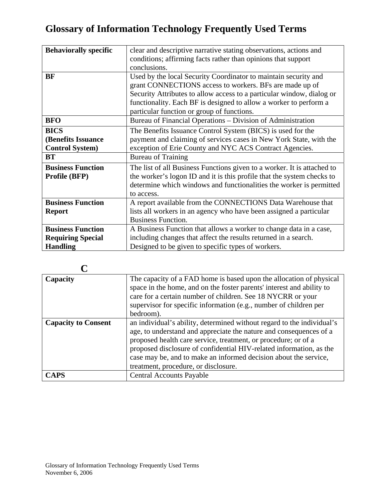| <b>Behaviorally specific</b> | clear and descriptive narrative stating observations, actions and       |
|------------------------------|-------------------------------------------------------------------------|
|                              | conditions; affirming facts rather than opinions that support           |
|                              | conclusions.                                                            |
| <b>BF</b>                    | Used by the local Security Coordinator to maintain security and         |
|                              | grant CONNECTIONS access to workers. BFs are made up of                 |
|                              | Security Attributes to allow access to a particular window, dialog or   |
|                              | functionality. Each BF is designed to allow a worker to perform a       |
|                              | particular function or group of functions.                              |
| <b>BFO</b>                   | Bureau of Financial Operations - Division of Administration             |
| <b>BICS</b>                  | The Benefits Issuance Control System (BICS) is used for the             |
| (Benefits Issuance           | payment and claiming of services cases in New York State, with the      |
| <b>Control System</b> )      | exception of Erie County and NYC ACS Contract Agencies.                 |
| BT                           | <b>Bureau of Training</b>                                               |
| <b>Business Function</b>     | The list of all Business Functions given to a worker. It is attached to |
| Profile (BFP)                | the worker's logon ID and it is this profile that the system checks to  |
|                              | determine which windows and functionalities the worker is permitted     |
|                              | to access.                                                              |
| <b>Business Function</b>     | A report available from the CONNECTIONS Data Warehouse that             |
| <b>Report</b>                | lists all workers in an agency who have been assigned a particular      |
|                              | <b>Business Function.</b>                                               |
| <b>Business Function</b>     | A Business Function that allows a worker to change data in a case,      |
| <b>Requiring Special</b>     | including changes that affect the results returned in a search.         |
| <b>Handling</b>              | Designed to be given to specific types of workers.                      |

| Capacity                   | The capacity of a FAD home is based upon the allocation of physical<br>space in the home, and on the foster parents' interest and ability to<br>care for a certain number of children. See 18 NYCRR or your<br>supervisor for specific information (e.g., number of children per<br>bedroom).                                                                                                     |
|----------------------------|---------------------------------------------------------------------------------------------------------------------------------------------------------------------------------------------------------------------------------------------------------------------------------------------------------------------------------------------------------------------------------------------------|
|                            |                                                                                                                                                                                                                                                                                                                                                                                                   |
| <b>Capacity to Consent</b> | an individual's ability, determined without regard to the individual's<br>age, to understand and appreciate the nature and consequences of a<br>proposed health care service, treatment, or procedure; or of a<br>proposed disclosure of confidential HIV-related information, as the<br>case may be, and to make an informed decision about the service,<br>treatment, procedure, or disclosure. |
| <b>CAPS</b>                | <b>Central Accounts Payable</b>                                                                                                                                                                                                                                                                                                                                                                   |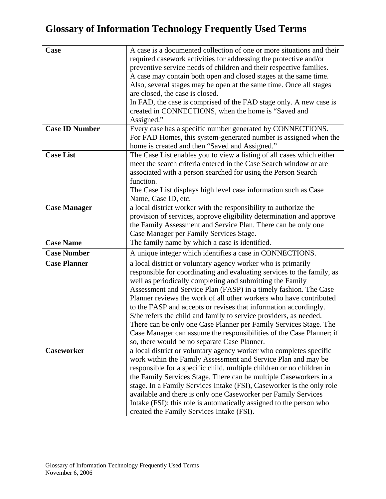| Case                  | A case is a documented collection of one or more situations and their  |
|-----------------------|------------------------------------------------------------------------|
|                       | required casework activities for addressing the protective and/or      |
|                       | preventive service needs of children and their respective families.    |
|                       | A case may contain both open and closed stages at the same time.       |
|                       |                                                                        |
|                       | Also, several stages may be open at the same time. Once all stages     |
|                       | are closed, the case is closed.                                        |
|                       | In FAD, the case is comprised of the FAD stage only. A new case is     |
|                       | created in CONNECTIONS, when the home is "Saved and                    |
|                       | Assigned."                                                             |
| <b>Case ID Number</b> | Every case has a specific number generated by CONNECTIONS.             |
|                       | For FAD Homes, this system-generated number is assigned when the       |
|                       | home is created and then "Saved and Assigned."                         |
|                       |                                                                        |
| <b>Case List</b>      | The Case List enables you to view a listing of all cases which either  |
|                       | meet the search criteria entered in the Case Search window or are      |
|                       | associated with a person searched for using the Person Search          |
|                       | function.                                                              |
|                       | The Case List displays high level case information such as Case        |
|                       | Name, Case ID, etc.                                                    |
| <b>Case Manager</b>   | a local district worker with the responsibility to authorize the       |
|                       | provision of services, approve eligibility determination and approve   |
|                       |                                                                        |
|                       | the Family Assessment and Service Plan. There can be only one          |
|                       | Case Manager per Family Services Stage.                                |
| <b>Case Name</b>      | The family name by which a case is identified.                         |
| <b>Case Number</b>    | A unique integer which identifies a case in CONNECTIONS.               |
| <b>Case Planner</b>   | a local district or voluntary agency worker who is primarily           |
|                       | responsible for coordinating and evaluating services to the family, as |
|                       | well as periodically completing and submitting the Family              |
|                       | Assessment and Service Plan (FASP) in a timely fashion. The Case       |
|                       | Planner reviews the work of all other workers who have contributed     |
|                       | to the FASP and accepts or revises that information accordingly.       |
|                       | S/he refers the child and family to service providers, as needed.      |
|                       | There can be only one Case Planner per Family Services Stage. The      |
|                       |                                                                        |
|                       | Case Manager can assume the responsibilities of the Case Planner; if   |
|                       | so, there would be no separate Case Planner.                           |
| <b>Caseworker</b>     | a local district or voluntary agency worker who completes specific     |
|                       | work within the Family Assessment and Service Plan and may be          |
|                       | responsible for a specific child, multiple children or no children in  |
|                       | the Family Services Stage. There can be multiple Caseworkers in a      |
|                       | stage. In a Family Services Intake (FSI), Caseworker is the only role  |
|                       | available and there is only one Caseworker per Family Services         |
|                       | Intake (FSI); this role is automatically assigned to the person who    |
|                       |                                                                        |
|                       | created the Family Services Intake (FSI).                              |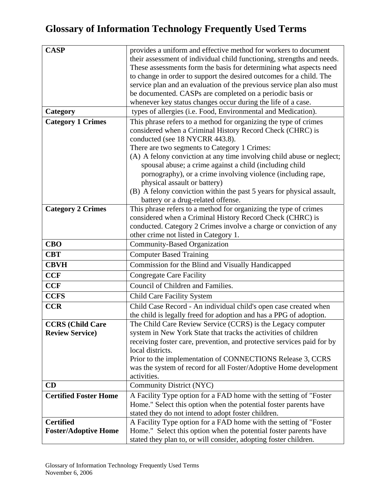| <b>CASP</b>                  | provides a uniform and effective method for workers to document        |
|------------------------------|------------------------------------------------------------------------|
|                              | their assessment of individual child functioning, strengths and needs. |
|                              | These assessments form the basis for determining what aspects need     |
|                              | to change in order to support the desired outcomes for a child. The    |
|                              | service plan and an evaluation of the previous service plan also must  |
|                              | be documented. CASPs are completed on a periodic basis or              |
|                              | whenever key status changes occur during the life of a case.           |
| Category                     | types of allergies (i.e. Food, Environmental and Medication).          |
| <b>Category 1 Crimes</b>     | This phrase refers to a method for organizing the type of crimes       |
|                              | considered when a Criminal History Record Check (CHRC) is              |
|                              | conducted (see 18 NYCRR 443.8).                                        |
|                              | There are two segments to Category 1 Crimes:                           |
|                              | (A) A felony conviction at any time involving child abuse or neglect;  |
|                              | spousal abuse; a crime against a child (including child                |
|                              | pornography), or a crime involving violence (including rape,           |
|                              | physical assault or battery)                                           |
|                              | (B) A felony conviction within the past 5 years for physical assault,  |
|                              | battery or a drug-related offense.                                     |
| <b>Category 2 Crimes</b>     | This phrase refers to a method for organizing the type of crimes       |
|                              | considered when a Criminal History Record Check (CHRC) is              |
|                              | conducted. Category 2 Crimes involve a charge or conviction of any     |
|                              | other crime not listed in Category 1.                                  |
| <b>CBO</b>                   | <b>Community-Based Organization</b>                                    |
| <b>CBT</b>                   | <b>Computer Based Training</b>                                         |
| <b>CBVH</b>                  | Commission for the Blind and Visually Handicapped                      |
| <b>CCF</b>                   | <b>Congregate Care Facility</b>                                        |
| CCF                          | Council of Children and Families.                                      |
| <b>CCFS</b>                  | <b>Child Care Facility System</b>                                      |
| <b>CCR</b>                   | Child Case Record - An individual child's open case created when       |
|                              | the child is legally freed for adoption and has a PPG of adoption.     |
| <b>CCRS</b> (Child Care      | The Child Care Review Service (CCRS) is the Legacy computer            |
| <b>Review Service</b> )      | system in New York State that tracks the activities of children        |
|                              | receiving foster care, prevention, and protective services paid for by |
|                              | local districts.                                                       |
|                              | Prior to the implementation of CONNECTIONS Release 3, CCRS             |
|                              | was the system of record for all Foster/Adoptive Home development      |
|                              | activities.                                                            |
| CD                           | Community District (NYC)                                               |
| <b>Certified Foster Home</b> | A Facility Type option for a FAD home with the setting of "Foster"     |
|                              | Home." Select this option when the potential foster parents have       |
|                              | stated they do not intend to adopt foster children.                    |
| <b>Certified</b>             | A Facility Type option for a FAD home with the setting of "Foster"     |
| <b>Foster/Adoptive Home</b>  | Home." Select this option when the potential foster parents have       |
|                              | stated they plan to, or will consider, adopting foster children.       |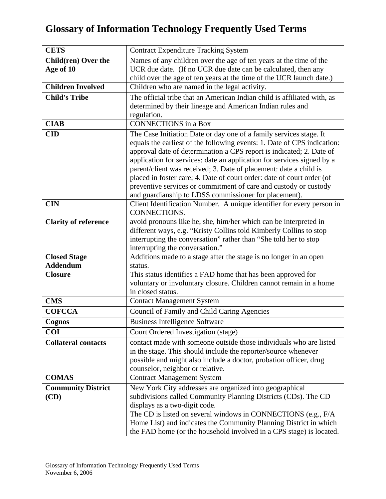| <b>CETS</b>                 | <b>Contract Expenditure Tracking System</b>                                                           |
|-----------------------------|-------------------------------------------------------------------------------------------------------|
| Child(ren) Over the         | Names of any children over the age of ten years at the time of the                                    |
| Age of 10                   | UCR due date. (If no UCR due date can be calculated, then any                                         |
|                             | child over the age of ten years at the time of the UCR launch date.)                                  |
| <b>Children Involved</b>    | Children who are named in the legal activity.                                                         |
| <b>Child's Tribe</b>        | The official tribe that an American Indian child is affiliated with, as                               |
|                             | determined by their lineage and American Indian rules and                                             |
|                             | regulation.                                                                                           |
| <b>CIAB</b>                 | <b>CONNECTIONS</b> in a Box                                                                           |
| <b>CID</b>                  | The Case Initiation Date or day one of a family services stage. It                                    |
|                             | equals the earliest of the following events: 1. Date of CPS indication:                               |
|                             | approval date of determination a CPS report is indicated; 2. Date of                                  |
|                             | application for services: date an application for services signed by a                                |
|                             | parent/client was received; 3. Date of placement: date a child is                                     |
|                             | placed in foster care; 4. Date of court order: date of court order (of                                |
|                             | preventive services or commitment of care and custody or custody                                      |
|                             | and guardianship to LDSS commissioner for placement).                                                 |
| <b>CIN</b>                  | Client Identification Number. A unique identifier for every person in                                 |
|                             | CONNECTIONS.                                                                                          |
| <b>Clarity of reference</b> | avoid pronouns like he, she, him/her which can be interpreted in                                      |
|                             | different ways, e.g. "Kristy Collins told Kimberly Collins to stop                                    |
|                             | interrupting the conversation" rather than "She told her to stop                                      |
|                             | interrupting the conversation."                                                                       |
| <b>Closed Stage</b>         | Additions made to a stage after the stage is no longer in an open                                     |
| <b>Addendum</b>             | status.                                                                                               |
| <b>Closure</b>              | This status identifies a FAD home that has been approved for                                          |
|                             | voluntary or involuntary closure. Children cannot remain in a home                                    |
|                             | in closed status.                                                                                     |
| <b>CMS</b>                  | <b>Contact Management System</b>                                                                      |
| <b>COFCCA</b>               | Council of Family and Child Caring Agencies                                                           |
| Cognos                      | <b>Business Intelligence Software</b>                                                                 |
| <b>COI</b>                  | Court Ordered Investigation (stage)                                                                   |
| <b>Collateral contacts</b>  | contact made with someone outside those individuals who are listed                                    |
|                             | in the stage. This should include the reporter/source whenever                                        |
|                             |                                                                                                       |
|                             | possible and might also include a doctor, probation officer, drug<br>counselor, neighbor or relative. |
| <b>COMAS</b>                |                                                                                                       |
|                             | <b>Contract Management System</b>                                                                     |
| <b>Community District</b>   | New York City addresses are organized into geographical                                               |
| (CD)                        | subdivisions called Community Planning Districts (CDs). The CD                                        |
|                             | displays as a two-digit code.                                                                         |
|                             | The CD is listed on several windows in CONNECTIONS (e.g., F/A                                         |
|                             | Home List) and indicates the Community Planning District in which                                     |
|                             | the FAD home (or the household involved in a CPS stage) is located.                                   |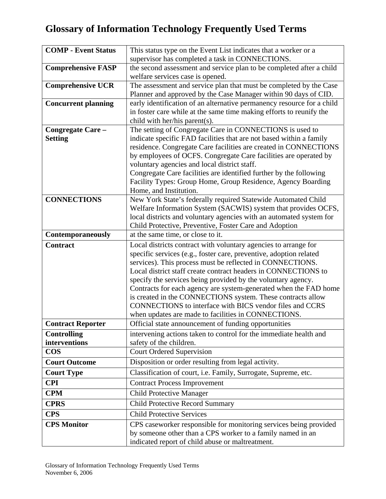| <b>COMP - Event Status</b> | This status type on the Event List indicates that a worker or a                                                                         |
|----------------------------|-----------------------------------------------------------------------------------------------------------------------------------------|
|                            | supervisor has completed a task in CONNECTIONS.                                                                                         |
| <b>Comprehensive FASP</b>  | the second assessment and service plan to be completed after a child                                                                    |
|                            | welfare services case is opened.                                                                                                        |
| <b>Comprehensive UCR</b>   | The assessment and service plan that must be completed by the Case                                                                      |
|                            | Planner and approved by the Case Manager within 90 days of CID.                                                                         |
| <b>Concurrent planning</b> | early identification of an alternative permanency resource for a child                                                                  |
|                            | in foster care while at the same time making efforts to reunify the                                                                     |
|                            | child with her/his parent(s).                                                                                                           |
| Congregate Care -          | The setting of Congregate Care in CONNECTIONS is used to                                                                                |
| <b>Setting</b>             | indicate specific FAD facilities that are not based within a family<br>residence. Congregate Care facilities are created in CONNECTIONS |
|                            | by employees of OCFS. Congregate Care facilities are operated by                                                                        |
|                            | voluntary agencies and local district staff.                                                                                            |
|                            | Congregate Care facilities are identified further by the following                                                                      |
|                            | Facility Types: Group Home, Group Residence, Agency Boarding                                                                            |
|                            | Home, and Institution.                                                                                                                  |
| <b>CONNECTIONS</b>         | New York State's federally required Statewide Automated Child                                                                           |
|                            | Welfare Information System (SACWIS) system that provides OCFS,                                                                          |
|                            | local districts and voluntary agencies with an automated system for                                                                     |
|                            | Child Protective, Preventive, Foster Care and Adoption                                                                                  |
| <b>Contemporaneously</b>   | at the same time, or close to it.                                                                                                       |
| <b>Contract</b>            | Local districts contract with voluntary agencies to arrange for                                                                         |
|                            | specific services (e.g., foster care, preventive, adoption related                                                                      |
|                            | services). This process must be reflected in CONNECTIONS.<br>Local district staff create contract headers in CONNECTIONS to             |
|                            | specify the services being provided by the voluntary agency.                                                                            |
|                            | Contracts for each agency are system-generated when the FAD home                                                                        |
|                            | is created in the CONNECTIONS system. These contracts allow                                                                             |
|                            | CONNECTIONS to interface with BICS vendor files and CCRS                                                                                |
|                            | when updates are made to facilities in CONNECTIONS.                                                                                     |
| <b>Contract Reporter</b>   | Official state announcement of funding opportunities                                                                                    |
| <b>Controlling</b>         | intervening actions taken to control for the immediate health and                                                                       |
| interventions              | safety of the children.                                                                                                                 |
| <b>COS</b>                 | <b>Court Ordered Supervision</b>                                                                                                        |
| <b>Court Outcome</b>       | Disposition or order resulting from legal activity.                                                                                     |
| <b>Court Type</b>          | Classification of court, i.e. Family, Surrogate, Supreme, etc.                                                                          |
| <b>CPI</b>                 | <b>Contract Process Improvement</b>                                                                                                     |
| <b>CPM</b>                 | <b>Child Protective Manager</b>                                                                                                         |
| <b>CPRS</b>                | <b>Child Protective Record Summary</b>                                                                                                  |
| <b>CPS</b>                 | <b>Child Protective Services</b>                                                                                                        |
| <b>CPS Monitor</b>         | CPS caseworker responsible for monitoring services being provided                                                                       |
|                            | by someone other than a CPS worker to a family named in an                                                                              |
|                            | indicated report of child abuse or maltreatment.                                                                                        |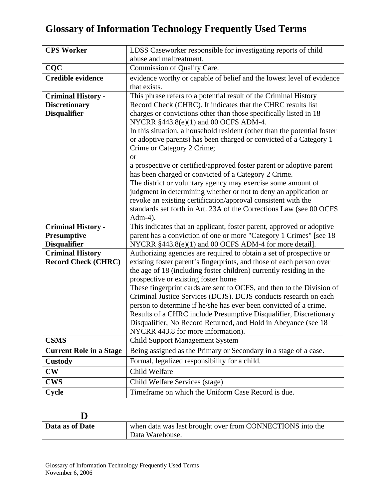| <b>CPS Worker</b>              | LDSS Caseworker responsible for investigating reports of child                      |
|--------------------------------|-------------------------------------------------------------------------------------|
|                                | abuse and maltreatment.                                                             |
| <b>CQC</b>                     | Commission of Quality Care.                                                         |
| <b>Credible evidence</b>       | evidence worthy or capable of belief and the lowest level of evidence               |
|                                | that exists.                                                                        |
| <b>Criminal History -</b>      | This phrase refers to a potential result of the Criminal History                    |
| <b>Discretionary</b>           | Record Check (CHRC). It indicates that the CHRC results list                        |
| <b>Disqualifier</b>            | charges or convictions other than those specifically listed in 18                   |
|                                | NYCRR §443.8(e)(1) and 00 OCFS ADM-4.                                               |
|                                | In this situation, a household resident (other than the potential foster            |
|                                | or adoptive parents) has been charged or convicted of a Category 1                  |
|                                | Crime or Category 2 Crime;                                                          |
|                                | <b>or</b>                                                                           |
|                                | a prospective or certified/approved foster parent or adoptive parent                |
|                                | has been charged or convicted of a Category 2 Crime.                                |
|                                | The district or voluntary agency may exercise some amount of                        |
|                                | judgment in determining whether or not to deny an application or                    |
|                                | revoke an existing certification/approval consistent with the                       |
|                                | standards set forth in Art. 23A of the Corrections Law (see 00 OCFS                 |
| <b>Criminal History -</b>      | $Adm-4$ ).<br>This indicates that an applicant, foster parent, approved or adoptive |
| Presumptive                    | parent has a conviction of one or more "Category 1 Crimes" [see 18                  |
| <b>Disqualifier</b>            | NYCRR §443.8(e)(1) and 00 OCFS ADM-4 for more detail].                              |
| <b>Criminal History</b>        | Authorizing agencies are required to obtain a set of prospective or                 |
| <b>Record Check (CHRC)</b>     | existing foster parent's fingerprints, and those of each person over                |
|                                | the age of 18 (including foster children) currently residing in the                 |
|                                | prospective or existing foster home                                                 |
|                                | These fingerprint cards are sent to OCFS, and then to the Division of               |
|                                | Criminal Justice Services (DCJS). DCJS conducts research on each                    |
|                                | person to determine if he/she has ever been convicted of a crime.                   |
|                                | Results of a CHRC include Presumptive Disqualifier, Discretionary                   |
|                                | Disqualifier, No Record Returned, and Hold in Abeyance (see 18)                     |
|                                | NYCRR 443.8 for more information).                                                  |
| <b>CSMS</b>                    | <b>Child Support Management System</b>                                              |
| <b>Current Role in a Stage</b> | Being assigned as the Primary or Secondary in a stage of a case.                    |
| <b>Custody</b>                 | Formal, legalized responsibility for a child.                                       |
| $\mathbf{CW}$                  | Child Welfare                                                                       |
|                                |                                                                                     |
| <b>CWS</b>                     | Child Welfare Services (stage)                                                      |

#### **D**

| Data as of Date | when data was last brought over from CONNECTIONS into the |
|-----------------|-----------------------------------------------------------|
|                 | Data Warehouse.                                           |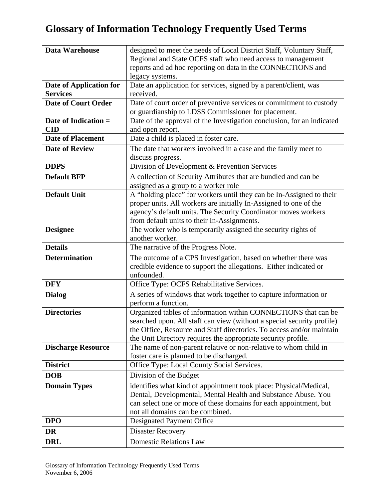| <b>Data Warehouse</b>      | designed to meet the needs of Local District Staff, Voluntary Staff,   |
|----------------------------|------------------------------------------------------------------------|
|                            | Regional and State OCFS staff who need access to management            |
|                            | reports and ad hoc reporting on data in the CONNECTIONS and            |
|                            | legacy systems.                                                        |
| Date of Application for    | Date an application for services, signed by a parent/client, was       |
| <b>Services</b>            | received.                                                              |
| <b>Date of Court Order</b> | Date of court order of preventive services or commitment to custody    |
|                            | or guardianship to LDSS Commissioner for placement.                    |
| Date of Indication =       | Date of the approval of the Investigation conclusion, for an indicated |
| <b>CID</b>                 | and open report.                                                       |
| <b>Date of Placement</b>   | Date a child is placed in foster care.                                 |
| <b>Date of Review</b>      | The date that workers involved in a case and the family meet to        |
|                            | discuss progress.                                                      |
| <b>DDPS</b>                | Division of Development & Prevention Services                          |
| <b>Default BFP</b>         | A collection of Security Attributes that are bundled and can be        |
|                            | assigned as a group to a worker role                                   |
| <b>Default Unit</b>        | A "holding place" for workers until they can be In-Assigned to their   |
|                            | proper units. All workers are initially In-Assigned to one of the      |
|                            | agency's default units. The Security Coordinator moves workers         |
|                            | from default units to their In-Assignments.                            |
| <b>Designee</b>            | The worker who is temporarily assigned the security rights of          |
|                            | another worker.                                                        |
| <b>Details</b>             | The narrative of the Progress Note.                                    |
| <b>Determination</b>       | The outcome of a CPS Investigation, based on whether there was         |
|                            | credible evidence to support the allegations. Either indicated or      |
|                            | unfounded.                                                             |
| <b>DFY</b>                 | Office Type: OCFS Rehabilitative Services.                             |
| <b>Dialog</b>              | A series of windows that work together to capture information or       |
|                            | perform a function.                                                    |
| <b>Directories</b>         | Organized tables of information within CONNECTIONS that can be         |
|                            | searched upon. All staff can view (without a special security profile) |
|                            | the Office, Resource and Staff directories. To access and/or maintain  |
|                            | the Unit Directory requires the appropriate security profile.          |
| <b>Discharge Resource</b>  | The name of non-parent relative or non-relative to whom child in       |
|                            | foster care is planned to be discharged.                               |
| <b>District</b>            | Office Type: Local County Social Services.                             |
| <b>DOB</b>                 | Division of the Budget                                                 |
| <b>Domain Types</b>        | identifies what kind of appointment took place: Physical/Medical,      |
|                            | Dental, Developmental, Mental Health and Substance Abuse. You          |
|                            | can select one or more of these domains for each appointment, but      |
|                            | not all domains can be combined.                                       |
| <b>DPO</b>                 | Designated Payment Office                                              |
| DR                         | <b>Disaster Recovery</b>                                               |
| <b>DRL</b>                 | <b>Domestic Relations Law</b>                                          |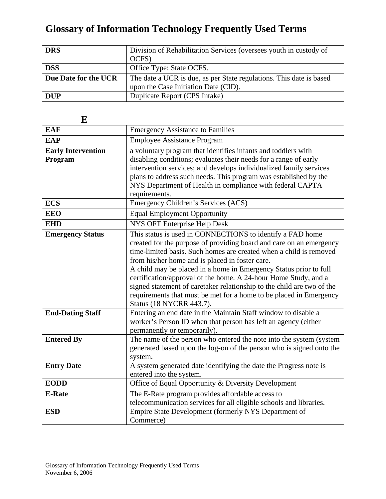| <b>DRS</b>           | Division of Rehabilitation Services (oversees youth in custody of   |
|----------------------|---------------------------------------------------------------------|
|                      | OCFS)                                                               |
| <b>DSS</b>           | Office Type: State OCFS.                                            |
| Due Date for the UCR | The date a UCR is due, as per State regulations. This date is based |
|                      | upon the Case Initiation Date (CID).                                |
| <b>DUP</b>           | Duplicate Report (CPS Intake)                                       |

| تلا                       |                                                                                            |
|---------------------------|--------------------------------------------------------------------------------------------|
| <b>EAF</b>                | <b>Emergency Assistance to Families</b>                                                    |
| <b>EAP</b>                | <b>Employee Assistance Program</b>                                                         |
| <b>Early Intervention</b> | a voluntary program that identifies infants and toddlers with                              |
| Program                   | disabling conditions; evaluates their needs for a range of early                           |
|                           | intervention services; and develops individualized family services                         |
|                           | plans to address such needs. This program was established by the                           |
|                           | NYS Department of Health in compliance with federal CAPTA                                  |
|                           | requirements.                                                                              |
| <b>ECS</b>                | Emergency Children's Services (ACS)                                                        |
| <b>EEO</b>                | <b>Equal Employment Opportunity</b>                                                        |
| <b>EHD</b>                | NYS OFT Enterprise Help Desk                                                               |
| <b>Emergency Status</b>   | This status is used in CONNECTIONS to identify a FAD home                                  |
|                           | created for the purpose of providing board and care on an emergency                        |
|                           | time-limited basis. Such homes are created when a child is removed                         |
|                           | from his/her home and is placed in foster care.                                            |
|                           | A child may be placed in a home in Emergency Status prior to full                          |
|                           | certification/approval of the home. A 24-hour Home Study, and a                            |
|                           | signed statement of caretaker relationship to the child are two of the                     |
|                           | requirements that must be met for a home to be placed in Emergency                         |
| <b>End-Dating Staff</b>   | Status (18 NYCRR 443.7).<br>Entering an end date in the Maintain Staff window to disable a |
|                           | worker's Person ID when that person has left an agency (either                             |
|                           | permanently or temporarily).                                                               |
| <b>Entered By</b>         | The name of the person who entered the note into the system (system                        |
|                           | generated based upon the log-on of the person who is signed onto the                       |
|                           | system.                                                                                    |
| <b>Entry Date</b>         | A system generated date identifying the date the Progress note is                          |
|                           | entered into the system.                                                                   |
| <b>EODD</b>               | Office of Equal Opportunity & Diversity Development                                        |
| <b>E-Rate</b>             | The E-Rate program provides affordable access to                                           |
|                           | telecommunication services for all eligible schools and libraries.                         |
| <b>ESD</b>                | Empire State Development (formerly NYS Department of                                       |
|                           | Commerce)                                                                                  |

**E**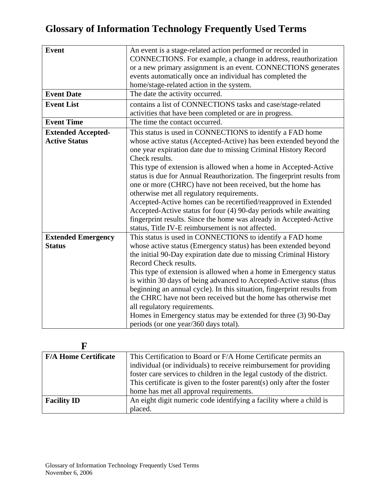| <b>Event</b>              | An event is a stage-related action performed or recorded in             |
|---------------------------|-------------------------------------------------------------------------|
|                           | CONNECTIONS. For example, a change in address, reauthorization          |
|                           | or a new primary assignment is an event. CONNECTIONS generates          |
|                           | events automatically once an individual has completed the               |
|                           | home/stage-related action in the system.                                |
| <b>Event Date</b>         | The date the activity occurred.                                         |
| <b>Event List</b>         | contains a list of CONNECTIONS tasks and case/stage-related             |
|                           | activities that have been completed or are in progress.                 |
| <b>Event Time</b>         | The time the contact occurred.                                          |
| <b>Extended Accepted-</b> | This status is used in CONNECTIONS to identify a FAD home               |
| <b>Active Status</b>      | whose active status (Accepted-Active) has been extended beyond the      |
|                           | one year expiration date due to missing Criminal History Record         |
|                           | Check results.                                                          |
|                           | This type of extension is allowed when a home in Accepted-Active        |
|                           | status is due for Annual Reauthorization. The fingerprint results from  |
|                           | one or more (CHRC) have not been received, but the home has             |
|                           | otherwise met all regulatory requirements.                              |
|                           | Accepted-Active homes can be recertified/reapproved in Extended         |
|                           | Accepted-Active status for four (4) 90-day periods while awaiting       |
|                           | fingerprint results. Since the home was already in Accepted-Active      |
|                           | status, Title IV-E reimbursement is not affected.                       |
|                           | This status is used in CONNECTIONS to identify a FAD home               |
| <b>Extended Emergency</b> |                                                                         |
| <b>Status</b>             | whose active status (Emergency status) has been extended beyond         |
|                           | the initial 90-Day expiration date due to missing Criminal History      |
|                           | Record Check results.                                                   |
|                           | This type of extension is allowed when a home in Emergency status       |
|                           | is within 30 days of being advanced to Accepted-Active status (thus     |
|                           | beginning an annual cycle). In this situation, fingerprint results from |
|                           | the CHRC have not been received but the home has otherwise met          |
|                           | all regulatory requirements.                                            |
|                           | Homes in Emergency status may be extended for three (3) 90-Day          |
|                           | periods (or one year/360 days total).                                   |

| <b>F/A Home Certificate</b> | This Certification to Board or F/A Home Certificate permits an          |
|-----------------------------|-------------------------------------------------------------------------|
|                             | individual (or individuals) to receive reimbursement for providing      |
|                             | foster care services to children in the legal custody of the district.  |
|                             | This certificate is given to the foster parent(s) only after the foster |
|                             | home has met all approval requirements.                                 |
| <b>Facility ID</b>          | An eight digit numeric code identifying a facility where a child is     |
|                             | placed.                                                                 |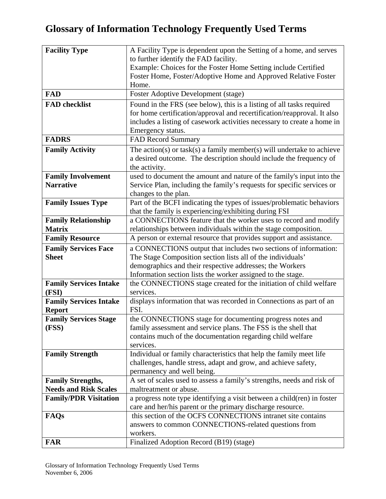| <b>Facility Type</b>          | A Facility Type is dependent upon the Setting of a home, and serves                                                       |
|-------------------------------|---------------------------------------------------------------------------------------------------------------------------|
|                               | to further identify the FAD facility.                                                                                     |
|                               | Example: Choices for the Foster Home Setting include Certified                                                            |
|                               | Foster Home, Foster/Adoptive Home and Approved Relative Foster                                                            |
|                               | Home.                                                                                                                     |
| <b>FAD</b>                    | <b>Foster Adoptive Development (stage)</b>                                                                                |
| <b>FAD</b> checklist          | Found in the FRS (see below), this is a listing of all tasks required                                                     |
|                               | for home certification/approval and recertification/reapproval. It also                                                   |
|                               | includes a listing of casework activities necessary to create a home in                                                   |
|                               | Emergency status.                                                                                                         |
| <b>FADRS</b>                  | <b>FAD Record Summary</b>                                                                                                 |
| <b>Family Activity</b>        | The action(s) or task(s) a family member(s) will undertake to achieve                                                     |
|                               | a desired outcome. The description should include the frequency of                                                        |
|                               | the activity.                                                                                                             |
| <b>Family Involvement</b>     | used to document the amount and nature of the family's input into the                                                     |
| <b>Narrative</b>              | Service Plan, including the family's requests for specific services or                                                    |
|                               | changes to the plan.                                                                                                      |
| <b>Family Issues Type</b>     | Part of the BCFI indicating the types of issues/problematic behaviors                                                     |
|                               | that the family is experiencing/exhibiting during FSI                                                                     |
| <b>Family Relationship</b>    | a CONNECTIONS feature that the worker uses to record and modify                                                           |
| <b>Matrix</b>                 | relationships between individuals within the stage composition.                                                           |
| <b>Family Resource</b>        | A person or external resource that provides support and assistance.                                                       |
| <b>Family Services Face</b>   | a CONNECTIONS output that includes two sections of information:                                                           |
| <b>Sheet</b>                  | The Stage Composition section lists all of the individuals'                                                               |
|                               | demographics and their respective addresses; the Workers                                                                  |
|                               | Information section lists the worker assigned to the stage.                                                               |
| <b>Family Services Intake</b> | the CONNECTIONS stage created for the initiation of child welfare                                                         |
| (FSI)                         | services.                                                                                                                 |
| <b>Family Services Intake</b> | displays information that was recorded in Connections as part of an                                                       |
| <b>Report</b>                 | FSI.                                                                                                                      |
| <b>Family Services Stage</b>  | the CONNECTIONS stage for documenting progress notes and                                                                  |
| (FSS)                         | family assessment and service plans. The FSS is the shell that                                                            |
|                               | contains much of the documentation regarding child welfare                                                                |
|                               | services.                                                                                                                 |
| <b>Family Strength</b>        | Individual or family characteristics that help the family meet life                                                       |
|                               | challenges, handle stress, adapt and grow, and achieve safety,                                                            |
|                               | permanency and well being.                                                                                                |
| <b>Family Strengths,</b>      | A set of scales used to assess a family's strengths, needs and risk of                                                    |
| <b>Needs and Risk Scales</b>  | maltreatment or abuse.                                                                                                    |
| <b>Family/PDR Visitation</b>  | a progress note type identifying a visit between a child(ren) in foster                                                   |
|                               | care and her/his parent or the primary discharge resource.<br>this section of the OCFS CONNECTIONS intranet site contains |
| FAQs                          |                                                                                                                           |
|                               | answers to common CONNECTIONS-related questions from                                                                      |
|                               | workers.                                                                                                                  |
| <b>FAR</b>                    | Finalized Adoption Record (B19) (stage)                                                                                   |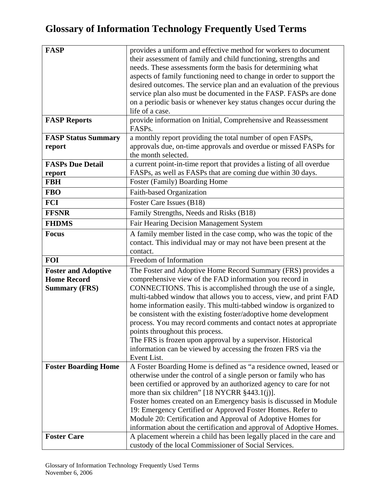| <b>FASP</b>                 | provides a uniform and effective method for workers to document       |
|-----------------------------|-----------------------------------------------------------------------|
|                             | their assessment of family and child functioning, strengths and       |
|                             | needs. These assessments form the basis for determining what          |
|                             | aspects of family functioning need to change in order to support the  |
|                             | desired outcomes. The service plan and an evaluation of the previous  |
|                             | service plan also must be documented in the FASP. FASPs are done      |
|                             | on a periodic basis or whenever key status changes occur during the   |
|                             | life of a case.                                                       |
| <b>FASP Reports</b>         | provide information on Initial, Comprehensive and Reassessment        |
|                             | FASPs.                                                                |
| <b>FASP Status Summary</b>  | a monthly report providing the total number of open FASPs,            |
| report                      | approvals due, on-time approvals and overdue or missed FASPs for      |
|                             | the month selected.                                                   |
| <b>FASPs Due Detail</b>     | a current point-in-time report that provides a listing of all overdue |
| report                      | FASPs, as well as FASPs that are coming due within 30 days.           |
| <b>FBH</b>                  | Foster (Family) Boarding Home                                         |
| <b>FBO</b>                  | Faith-based Organization                                              |
| <b>FCI</b>                  | Foster Care Issues (B18)                                              |
| <b>FFSNR</b>                | Family Strengths, Needs and Risks (B18)                               |
| <b>FHDMS</b>                | <b>Fair Hearing Decision Management System</b>                        |
| <b>Focus</b>                | A family member listed in the case comp, who was the topic of the     |
|                             | contact. This individual may or may not have been present at the      |
|                             | contact.                                                              |
| <b>FOI</b>                  | Freedom of Information                                                |
| <b>Foster and Adoptive</b>  | The Foster and Adoptive Home Record Summary (FRS) provides a          |
| <b>Home Record</b>          | comprehensive view of the FAD information you record in               |
| <b>Summary (FRS)</b>        | CONNECTIONS. This is accomplished through the use of a single,        |
|                             | multi-tabbed window that allows you to access, view, and print FAD    |
|                             | home information easily. This multi-tabbed window is organized to     |
|                             | be consistent with the existing foster/adoptive home development      |
|                             | process. You may record comments and contact notes at appropriate     |
|                             | points throughout this process.                                       |
|                             | The FRS is frozen upon approval by a supervisor. Historical           |
|                             | information can be viewed by accessing the frozen FRS via the         |
|                             | Event List.                                                           |
| <b>Foster Boarding Home</b> | A Foster Boarding Home is defined as "a residence owned, leased or    |
|                             | otherwise under the control of a single person or family who has      |
|                             | been certified or approved by an authorized agency to care for not    |
|                             | more than six children" [18 NYCRR $§$ 443.1(j)].                      |
|                             | Foster homes created on an Emergency basis is discussed in Module     |
|                             | 19: Emergency Certified or Approved Foster Homes. Refer to            |
|                             | Module 20: Certification and Approval of Adoptive Homes for           |
|                             | information about the certification and approval of Adoptive Homes.   |
| <b>Foster Care</b>          | A placement wherein a child has been legally placed in the care and   |
|                             | custody of the local Commissioner of Social Services.                 |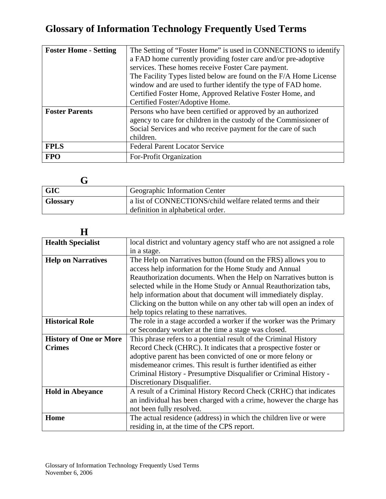| <b>Foster Home - Setting</b> | The Setting of "Foster Home" is used in CONNECTIONS to identify   |
|------------------------------|-------------------------------------------------------------------|
|                              | a FAD home currently providing foster care and/or pre-adoptive    |
|                              | services. These homes receive Foster Care payment.                |
|                              | The Facility Types listed below are found on the F/A Home License |
|                              | window and are used to further identify the type of FAD home.     |
|                              | Certified Foster Home, Approved Relative Foster Home, and         |
|                              | Certified Foster/Adoptive Home.                                   |
| <b>Foster Parents</b>        | Persons who have been certified or approved by an authorized      |
|                              | agency to care for children in the custody of the Commissioner of |
|                              | Social Services and who receive payment for the care of such      |
|                              | children.                                                         |
| <b>FPLS</b>                  | <b>Federal Parent Locator Service</b>                             |
| <b>FPO</b>                   | For-Profit Organization                                           |

| <b>GIC</b>      | Geographic Information Center                                                                    |
|-----------------|--------------------------------------------------------------------------------------------------|
| <b>Glossary</b> | a list of CONNECTIONS/child welfare related terms and their<br>definition in alphabetical order. |

| Н                             |                                                                       |
|-------------------------------|-----------------------------------------------------------------------|
| <b>Health Specialist</b>      | local district and voluntary agency staff who are not assigned a role |
|                               | in a stage.                                                           |
| <b>Help on Narratives</b>     | The Help on Narratives button (found on the FRS) allows you to        |
|                               | access help information for the Home Study and Annual                 |
|                               | Reauthorization documents. When the Help on Narratives button is      |
|                               | selected while in the Home Study or Annual Reauthorization tabs,      |
|                               | help information about that document will immediately display.        |
|                               | Clicking on the button while on any other tab will open an index of   |
|                               | help topics relating to these narratives.                             |
| <b>Historical Role</b>        | The role in a stage accorded a worker if the worker was the Primary   |
|                               | or Secondary worker at the time a stage was closed.                   |
| <b>History of One or More</b> | This phrase refers to a potential result of the Criminal History      |
| <b>Crimes</b>                 | Record Check (CHRC). It indicates that a prospective foster or        |
|                               | adoptive parent has been convicted of one or more felony or           |
|                               | misdemeanor crimes. This result is further identified as either       |
|                               | Criminal History - Presumptive Disqualifier or Criminal History -     |
|                               | Discretionary Disqualifier.                                           |
| <b>Hold in Abeyance</b>       | A result of a Criminal History Record Check (CRHC) that indicates     |
|                               | an individual has been charged with a crime, however the charge has   |
|                               | not been fully resolved.                                              |
| Home                          | The actual residence (address) in which the children live or were     |
|                               | residing in, at the time of the CPS report.                           |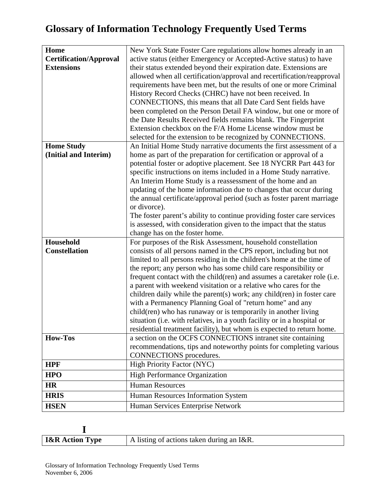| Home                          | New York State Foster Care regulations allow homes already in an        |
|-------------------------------|-------------------------------------------------------------------------|
| <b>Certification/Approval</b> | active status (either Emergency or Accepted-Active status) to have      |
| <b>Extensions</b>             | their status extended beyond their expiration date. Extensions are      |
|                               | allowed when all certification/approval and recertification/reapproval  |
|                               | requirements have been met, but the results of one or more Criminal     |
|                               | History Record Checks (CHRC) have not been received. In                 |
|                               | CONNECTIONS, this means that all Date Card Sent fields have             |
|                               | been completed on the Person Detail FA window, but one or more of       |
|                               | the Date Results Received fields remains blank. The Fingerprint         |
|                               | Extension checkbox on the F/A Home License window must be               |
|                               | selected for the extension to be recognized by CONNECTIONS.             |
| <b>Home Study</b>             | An Initial Home Study narrative documents the first assessment of a     |
| (Initial and Interim)         | home as part of the preparation for certification or approval of a      |
|                               | potential foster or adoptive placement. See 18 NYCRR Part 443 for       |
|                               | specific instructions on items included in a Home Study narrative.      |
|                               | An Interim Home Study is a reassessment of the home and an              |
|                               | updating of the home information due to changes that occur during       |
|                               | the annual certificate/approval period (such as foster parent marriage  |
|                               | or divorce).                                                            |
|                               | The foster parent's ability to continue providing foster care services  |
|                               | is assessed, with consideration given to the impact that the status     |
|                               | change has on the foster home.                                          |
| Household                     | For purposes of the Risk Assessment, household constellation            |
| <b>Constellation</b>          | consists of all persons named in the CPS report, including but not      |
|                               | limited to all persons residing in the children's home at the time of   |
|                               | the report; any person who has some child care responsibility or        |
|                               | frequent contact with the child(ren) and assumes a caretaker role (i.e. |
|                               | a parent with weekend visitation or a relative who cares for the        |
|                               | children daily while the parent(s) work; any child(ren) in foster care  |
|                               | with a Permanency Planning Goal of "return home" and any                |
|                               | child(ren) who has runaway or is temporarily in another living          |
|                               | situation (i.e. with relatives, in a youth facility or in a hospital or |
|                               | residential treatment facility), but whom is expected to return home.   |
| <b>How-Tos</b>                | a section on the OCFS CONNECTIONS intranet site containing              |
|                               | recommendations, tips and noteworthy points for completing various      |
|                               | CONNECTIONS procedures.                                                 |
| <b>HPF</b>                    | <b>High Priority Factor (NYC)</b>                                       |
| <b>HPO</b>                    | <b>High Performance Organization</b>                                    |
| <b>HR</b>                     | Human Resources                                                         |
| <b>HRIS</b>                   | Human Resources Information System                                      |
| <b>HSEN</b>                   | Human Services Enterprise Network                                       |

| <b>I&amp;R</b> Action Type | A listing of actions taken during an I&R. |
|----------------------------|-------------------------------------------|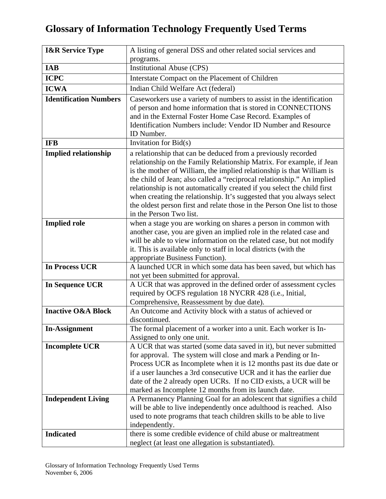| <b>I&amp;R Service Type</b>   | A listing of general DSS and other related social services and                                                                                                                                                                                                                                                                                                                                                                                                                                                                                      |
|-------------------------------|-----------------------------------------------------------------------------------------------------------------------------------------------------------------------------------------------------------------------------------------------------------------------------------------------------------------------------------------------------------------------------------------------------------------------------------------------------------------------------------------------------------------------------------------------------|
|                               | programs.                                                                                                                                                                                                                                                                                                                                                                                                                                                                                                                                           |
| <b>IAB</b>                    | <b>Institutional Abuse (CPS)</b>                                                                                                                                                                                                                                                                                                                                                                                                                                                                                                                    |
| <b>ICPC</b>                   | Interstate Compact on the Placement of Children                                                                                                                                                                                                                                                                                                                                                                                                                                                                                                     |
| <b>ICWA</b>                   | Indian Child Welfare Act (federal)                                                                                                                                                                                                                                                                                                                                                                                                                                                                                                                  |
| <b>Identification Numbers</b> | Caseworkers use a variety of numbers to assist in the identification<br>of person and home information that is stored in CONNECTIONS<br>and in the External Foster Home Case Record. Examples of<br>Identification Numbers include: Vendor ID Number and Resource<br>ID Number.                                                                                                                                                                                                                                                                     |
| <b>IFB</b>                    | Invitation for Bid(s)                                                                                                                                                                                                                                                                                                                                                                                                                                                                                                                               |
| <b>Implied relationship</b>   | a relationship that can be deduced from a previously recorded<br>relationship on the Family Relationship Matrix. For example, if Jean<br>is the mother of William, the implied relationship is that William is<br>the child of Jean; also called a "reciprocal relationship." An implied<br>relationship is not automatically created if you select the child first<br>when creating the relationship. It's suggested that you always select<br>the oldest person first and relate those in the Person One list to those<br>in the Person Two list. |
| <b>Implied role</b>           | when a stage you are working on shares a person in common with<br>another case, you are given an implied role in the related case and<br>will be able to view information on the related case, but not modify<br>it. This is available only to staff in local districts (with the<br>appropriate Business Function).                                                                                                                                                                                                                                |
| <b>In Process UCR</b>         | A launched UCR in which some data has been saved, but which has<br>not yet been submitted for approval.                                                                                                                                                                                                                                                                                                                                                                                                                                             |
| <b>In Sequence UCR</b>        | A UCR that was approved in the defined order of assessment cycles<br>required by OCFS regulation 18 NYCRR 428 (i.e., Initial,<br>Comprehensive, Reassessment by due date).                                                                                                                                                                                                                                                                                                                                                                          |
| <b>Inactive O&amp;A Block</b> | An Outcome and Activity block with a status of achieved or<br>discontinued.                                                                                                                                                                                                                                                                                                                                                                                                                                                                         |
| <b>In-Assignment</b>          | The formal placement of a worker into a unit. Each worker is In-<br>Assigned to only one unit.                                                                                                                                                                                                                                                                                                                                                                                                                                                      |
| <b>Incomplete UCR</b>         | A UCR that was started (some data saved in it), but never submitted<br>for approval. The system will close and mark a Pending or In-<br>Process UCR as Incomplete when it is 12 months past its due date or<br>if a user launches a 3rd consecutive UCR and it has the earlier due<br>date of the 2 already open UCRs. If no CID exists, a UCR will be<br>marked as Incomplete 12 months from its launch date.                                                                                                                                      |
| <b>Independent Living</b>     | A Permanency Planning Goal for an adolescent that signifies a child<br>will be able to live independently once adulthood is reached. Also<br>used to note programs that teach children skills to be able to live<br>independently.                                                                                                                                                                                                                                                                                                                  |
| <b>Indicated</b>              | there is some credible evidence of child abuse or maltreatment<br>neglect (at least one allegation is substantiated).                                                                                                                                                                                                                                                                                                                                                                                                                               |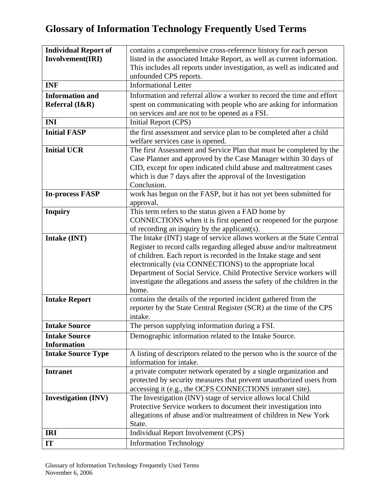| <b>Individual Report of</b> | contains a comprehensive cross-reference history for each person                  |
|-----------------------------|-----------------------------------------------------------------------------------|
| Involvement(IRI)            | listed in the associated Intake Report, as well as current information.           |
|                             | This includes all reports under investigation, as well as indicated and           |
|                             | unfounded CPS reports.                                                            |
| <b>INF</b>                  | <b>Informational Letter</b>                                                       |
| <b>Information and</b>      | Information and referral allow a worker to record the time and effort             |
| Referral $(I&R)$            | spent on communicating with people who are asking for information                 |
|                             | on services and are not to be opened as a FSI.                                    |
| <b>INI</b>                  | Initial Report (CPS)                                                              |
| <b>Initial FASP</b>         | the first assessment and service plan to be completed after a child               |
|                             | welfare services case is opened.                                                  |
| <b>Initial UCR</b>          | The first Assessment and Service Plan that must be completed by the               |
|                             | Case Planner and approved by the Case Manager within 30 days of                   |
|                             | CID, except for open indicated child abuse and maltreatment cases                 |
|                             | which is due 7 days after the approval of the Investigation                       |
|                             | Conclusion.                                                                       |
| <b>In-process FASP</b>      | work has begun on the FASP, but it has not yet been submitted for                 |
|                             | approval.                                                                         |
| <b>Inquiry</b>              | This term refers to the status given a FAD home by                                |
|                             | CONNECTIONS when it is first opened or reopened for the purpose                   |
|                             | of recording an inquiry by the applicant(s).                                      |
| Intake (INT)                | The Intake (INT) stage of service allows workers at the State Central             |
|                             | Register to record calls regarding alleged abuse and/or maltreatment              |
|                             | of children. Each report is recorded in the Intake stage and sent                 |
|                             | electronically (via CONNECTIONS) to the appropriate local                         |
|                             | Department of Social Service. Child Protective Service workers will               |
|                             | investigate the allegations and assess the safety of the children in the<br>home. |
| <b>Intake Report</b>        | contains the details of the reported incident gathered from the                   |
|                             | reporter by the State Central Register (SCR) at the time of the CPS               |
|                             | intake.                                                                           |
| <b>Intake Source</b>        | The person supplying information during a FSI.                                    |
| <b>Intake Source</b>        | Demographic information related to the Intake Source.                             |
| <b>Information</b>          |                                                                                   |
| <b>Intake Source Type</b>   | A listing of descriptors related to the person who is the source of the           |
|                             | information for intake.                                                           |
| <b>Intranet</b>             | a private computer network operated by a single organization and                  |
|                             | protected by security measures that prevent unauthorized users from               |
|                             | accessing it (e.g., the OCFS CONNECTIONS intranet site).                          |
| <b>Investigation (INV)</b>  | The Investigation (INV) stage of service allows local Child                       |
|                             | Protective Service workers to document their investigation into                   |
|                             | allegations of abuse and/or maltreatment of children in New York                  |
|                             | State.                                                                            |
| <b>IRI</b>                  | Individual Report Involvement (CPS)                                               |
| IT                          | <b>Information Technology</b>                                                     |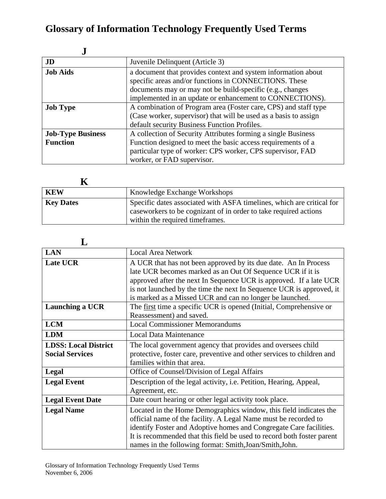| J                                           |                                                                                                                                                                                                                                                 |
|---------------------------------------------|-------------------------------------------------------------------------------------------------------------------------------------------------------------------------------------------------------------------------------------------------|
| JD                                          | Juvenile Delinquent (Article 3)                                                                                                                                                                                                                 |
| <b>Job Aids</b>                             | a document that provides context and system information about<br>specific areas and/or functions in CONNECTIONS. These<br>documents may or may not be build-specific (e.g., changes<br>implemented in an update or enhancement to CONNECTIONS). |
| <b>Job Type</b>                             | A combination of Program area (Foster care, CPS) and staff type<br>(Case worker, supervisor) that will be used as a basis to assign<br>default security Business Function Profiles.                                                             |
| <b>Job-Type Business</b><br><b>Function</b> | A collection of Security Attributes forming a single Business<br>Function designed to meet the basic access requirements of a<br>particular type of worker: CPS worker, CPS supervisor, FAD<br>worker, or FAD supervisor.                       |

| <b>KEW</b>       | Knowledge Exchange Workshops                                                                                                                                                  |
|------------------|-------------------------------------------------------------------------------------------------------------------------------------------------------------------------------|
| <b>Key Dates</b> | Specific dates associated with ASFA timelines, which are critical for<br>caseworkers to be cognizant of in order to take required actions<br>within the required time frames. |

| <b>LAN</b>                                            | <b>Local Area Network</b>                                                                                                                                                                                                                                                                                                                       |
|-------------------------------------------------------|-------------------------------------------------------------------------------------------------------------------------------------------------------------------------------------------------------------------------------------------------------------------------------------------------------------------------------------------------|
| Late UCR                                              | A UCR that has not been approved by its due date. An In Process<br>late UCR becomes marked as an Out Of Sequence UCR if it is<br>approved after the next In Sequence UCR is approved. If a late UCR<br>is not launched by the time the next In Sequence UCR is approved, it<br>is marked as a Missed UCR and can no longer be launched.         |
| Launching a UCR                                       | The first time a specific UCR is opened (Initial, Comprehensive or<br>Reassessment) and saved.                                                                                                                                                                                                                                                  |
| <b>LCM</b>                                            | <b>Local Commissioner Memorandums</b>                                                                                                                                                                                                                                                                                                           |
| <b>LDM</b>                                            | <b>Local Data Maintenance</b>                                                                                                                                                                                                                                                                                                                   |
| <b>LDSS: Local District</b><br><b>Social Services</b> | The local government agency that provides and oversees child<br>protective, foster care, preventive and other services to children and<br>families within that area.                                                                                                                                                                            |
| Legal                                                 | Office of Counsel/Division of Legal Affairs                                                                                                                                                                                                                                                                                                     |
| <b>Legal Event</b>                                    | Description of the legal activity, i.e. Petition, Hearing, Appeal,<br>Agreement, etc.                                                                                                                                                                                                                                                           |
| <b>Legal Event Date</b>                               | Date court hearing or other legal activity took place.                                                                                                                                                                                                                                                                                          |
| <b>Legal Name</b>                                     | Located in the Home Demographics window, this field indicates the<br>official name of the facility. A Legal Name must be recorded to<br>identify Foster and Adoptive homes and Congregate Care facilities.<br>It is recommended that this field be used to record both foster parent<br>names in the following format: Smith, Joan/Smith, John. |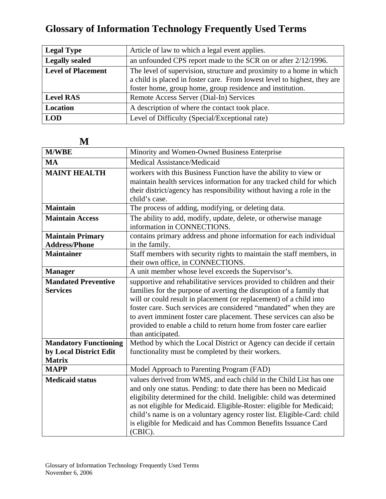| <b>Legal Type</b>         | Article of law to which a legal event applies.                                                                                                                                                                |
|---------------------------|---------------------------------------------------------------------------------------------------------------------------------------------------------------------------------------------------------------|
| <b>Legally sealed</b>     | an unfounded CPS report made to the SCR on or after 2/12/1996.                                                                                                                                                |
| <b>Level of Placement</b> | The level of supervision, structure and proximity to a home in which<br>a child is placed in foster care. From lowest level to highest, they are<br>foster home, group home, group residence and institution. |
| <b>Level RAS</b>          | Remote Access Server (Dial-In) Services                                                                                                                                                                       |
| Location                  | A description of where the contact took place.                                                                                                                                                                |
| <b>LOD</b>                | Level of Difficulty (Special/Exceptional rate)                                                                                                                                                                |

| <b>M/WBE</b>                                           | Minority and Women-Owned Business Enterprise                                                                                                                                                                                                                                                                                                                                                                                                                |
|--------------------------------------------------------|-------------------------------------------------------------------------------------------------------------------------------------------------------------------------------------------------------------------------------------------------------------------------------------------------------------------------------------------------------------------------------------------------------------------------------------------------------------|
| <b>MA</b>                                              | Medical Assistance/Medicaid                                                                                                                                                                                                                                                                                                                                                                                                                                 |
| <b>MAINT HEALTH</b>                                    | workers with this Business Function have the ability to view or<br>maintain health services information for any tracked child for which<br>their district/agency has responsibility without having a role in the<br>child's case.                                                                                                                                                                                                                           |
| <b>Maintain</b>                                        | The process of adding, modifying, or deleting data.                                                                                                                                                                                                                                                                                                                                                                                                         |
| <b>Maintain Access</b>                                 | The ability to add, modify, update, delete, or otherwise manage<br>information in CONNECTIONS.                                                                                                                                                                                                                                                                                                                                                              |
| <b>Maintain Primary</b><br><b>Address/Phone</b>        | contains primary address and phone information for each individual<br>in the family.                                                                                                                                                                                                                                                                                                                                                                        |
| <b>Maintainer</b>                                      | Staff members with security rights to maintain the staff members, in<br>their own office, in CONNECTIONS.                                                                                                                                                                                                                                                                                                                                                   |
| <b>Manager</b>                                         | A unit member whose level exceeds the Supervisor's.                                                                                                                                                                                                                                                                                                                                                                                                         |
| <b>Mandated Preventive</b><br><b>Services</b>          | supportive and rehabilitative services provided to children and their<br>families for the purpose of averting the disruption of a family that<br>will or could result in placement (or replacement) of a child into<br>foster care. Such services are considered "mandated" when they are<br>to avert imminent foster care placement. These services can also be<br>provided to enable a child to return home from foster care earlier<br>than anticipated. |
| <b>Mandatory Functioning</b><br>by Local District Edit | Method by which the Local District or Agency can decide if certain<br>functionality must be completed by their workers.                                                                                                                                                                                                                                                                                                                                     |
| <b>Matrix</b><br><b>MAPP</b>                           | Model Approach to Parenting Program (FAD)                                                                                                                                                                                                                                                                                                                                                                                                                   |
| <b>Medicaid status</b>                                 | values derived from WMS, and each child in the Child List has one<br>and only one status. Pending: to date there has been no Medicaid<br>eligibility determined for the child. Ineligible: child was determined<br>as not eligible for Medicaid. Eligible-Roster: eligible for Medicaid;<br>child's name is on a voluntary agency roster list. Eligible-Card: child<br>is eligible for Medicaid and has Common Benefits Issuance Card<br>(CBIC).            |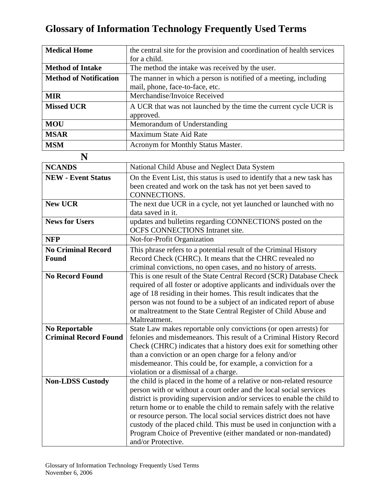| <b>Medical Home</b>           | the central site for the provision and coordination of health services                              |
|-------------------------------|-----------------------------------------------------------------------------------------------------|
|                               | for a child.                                                                                        |
| <b>Method of Intake</b>       | The method the intake was received by the user.                                                     |
| <b>Method of Notification</b> | The manner in which a person is notified of a meeting, including<br>mail, phone, face-to-face, etc. |
| <b>MIR</b>                    | Merchandise/Invoice Received                                                                        |
| <b>Missed UCR</b>             | A UCR that was not launched by the time the current cycle UCR is<br>approved.                       |
| <b>MOU</b>                    | Memorandum of Understanding                                                                         |
| <b>MSAR</b>                   | Maximum State Aid Rate                                                                              |
| <b>MSM</b>                    | Acronym for Monthly Status Master.                                                                  |

| N                                                    |                                                                                                                                                                                                                                                                                                                                                                                                                                                                                                                                          |
|------------------------------------------------------|------------------------------------------------------------------------------------------------------------------------------------------------------------------------------------------------------------------------------------------------------------------------------------------------------------------------------------------------------------------------------------------------------------------------------------------------------------------------------------------------------------------------------------------|
| <b>NCANDS</b>                                        | National Child Abuse and Neglect Data System                                                                                                                                                                                                                                                                                                                                                                                                                                                                                             |
| <b>NEW - Event Status</b>                            | On the Event List, this status is used to identify that a new task has<br>been created and work on the task has not yet been saved to<br>CONNECTIONS.                                                                                                                                                                                                                                                                                                                                                                                    |
| <b>New UCR</b>                                       | The next due UCR in a cycle, not yet launched or launched with no<br>data saved in it.                                                                                                                                                                                                                                                                                                                                                                                                                                                   |
| <b>News for Users</b>                                | updates and bulletins regarding CONNECTIONS posted on the<br>OCFS CONNECTIONS Intranet site.                                                                                                                                                                                                                                                                                                                                                                                                                                             |
| <b>NFP</b>                                           | Not-for-Profit Organization                                                                                                                                                                                                                                                                                                                                                                                                                                                                                                              |
| <b>No Criminal Record</b><br><b>Found</b>            | This phrase refers to a potential result of the Criminal History<br>Record Check (CHRC). It means that the CHRC revealed no<br>criminal convictions, no open cases, and no history of arrests.                                                                                                                                                                                                                                                                                                                                           |
| <b>No Record Found</b>                               | This is one result of the State Central Record (SCR) Database Check<br>required of all foster or adoptive applicants and individuals over the<br>age of 18 residing in their homes. This result indicates that the<br>person was not found to be a subject of an indicated report of abuse<br>or maltreatment to the State Central Register of Child Abuse and<br>Maltreatment.                                                                                                                                                          |
| <b>No Reportable</b><br><b>Criminal Record Found</b> | State Law makes reportable only convictions (or open arrests) for<br>felonies and misdemeanors. This result of a Criminal History Record<br>Check (CHRC) indicates that a history does exit for something other<br>than a conviction or an open charge for a felony and/or<br>misdemeanor. This could be, for example, a conviction for a<br>violation or a dismissal of a charge.                                                                                                                                                       |
| <b>Non-LDSS Custody</b>                              | the child is placed in the home of a relative or non-related resource<br>person with or without a court order and the local social services<br>district is providing supervision and/or services to enable the child to<br>return home or to enable the child to remain safely with the relative<br>or resource person. The local social services district does not have<br>custody of the placed child. This must be used in conjunction with a<br>Program Choice of Preventive (either mandated or non-mandated)<br>and/or Protective. |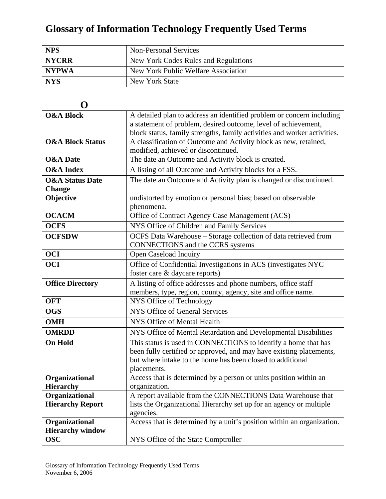| <b>NPS</b>   | <b>Non-Personal Services</b>         |
|--------------|--------------------------------------|
| <b>NYCRR</b> | New York Codes Rules and Regulations |
| NYPWA        | New York Public Welfare Association  |
| <b>NYS</b>   | New York State                       |

| O                           |                                                                          |
|-----------------------------|--------------------------------------------------------------------------|
| <b>O&amp;A Block</b>        | A detailed plan to address an identified problem or concern including    |
|                             | a statement of problem, desired outcome, level of achievement,           |
|                             | block status, family strengths, family activities and worker activities. |
| <b>O&amp;A Block Status</b> | A classification of Outcome and Activity block as new, retained,         |
|                             | modified, achieved or discontinued.                                      |
| <b>O&amp;A</b> Date         | The date an Outcome and Activity block is created.                       |
| <b>O&amp;A</b> Index        | A listing of all Outcome and Activity blocks for a FSS.                  |
| <b>O&amp;A Status Date</b>  | The date an Outcome and Activity plan is changed or discontinued.        |
| <b>Change</b>               |                                                                          |
| Objective                   | undistorted by emotion or personal bias; based on observable             |
|                             | phenomena.                                                               |
| <b>OCACM</b>                | Office of Contract Agency Case Management (ACS)                          |
| OCFS                        | NYS Office of Children and Family Services                               |
| <b>OCFSDW</b>               | OCFS Data Warehouse - Storage collection of data retrieved from          |
|                             | <b>CONNECTIONS</b> and the CCRS systems                                  |
| <b>OCI</b>                  | Open Caseload Inquiry                                                    |
| <b>OCI</b>                  | Office of Confidential Investigations in ACS (investigates NYC           |
|                             | foster care & daycare reports)                                           |
| <b>Office Directory</b>     | A listing of office addresses and phone numbers, office staff            |
|                             | members, type, region, county, agency, site and office name.             |
| <b>OFT</b>                  | NYS Office of Technology                                                 |
| <b>OGS</b>                  | <b>NYS Office of General Services</b>                                    |
| <b>OMH</b>                  | NYS Office of Mental Health                                              |
| <b>OMRDD</b>                | NYS Office of Mental Retardation and Developmental Disabilities          |
| <b>On Hold</b>              | This status is used in CONNECTIONS to identify a home that has           |
|                             | been fully certified or approved, and may have existing placements,      |
|                             | but where intake to the home has been closed to additional               |
|                             | placements.                                                              |
| Organizational              | Access that is determined by a person or units position within an        |
| <b>Hierarchy</b>            | organization.                                                            |
| Organizational              | A report available from the CONNECTIONS Data Warehouse that              |
| <b>Hierarchy Report</b>     | lists the Organizational Hierarchy set up for an agency or multiple      |
|                             | agencies.                                                                |
| Organizational              | Access that is determined by a unit's position within an organization.   |
| <b>Hierarchy window</b>     |                                                                          |
| <b>OSC</b>                  | NYS Office of the State Comptroller                                      |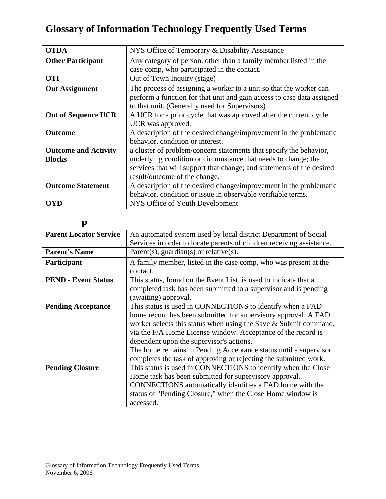| <b>OTDA</b>                 | NYS Office of Temporary & Disability Assistance                        |
|-----------------------------|------------------------------------------------------------------------|
| <b>Other Participant</b>    | Any category of person, other than a family member listed in the       |
|                             | case comp, who participated in the contact.                            |
| <b>OTI</b>                  | Out of Town Inquiry (stage)                                            |
| <b>Out Assignment</b>       | The process of assigning a worker to a unit so that the worker can     |
|                             | perform a function for that unit and gain access to case data assigned |
|                             | to that unit. (Generally used for Supervisors)                         |
| <b>Out of Sequence UCR</b>  | A UCR for a prior cycle that was approved after the current cycle      |
|                             | UCR was approved.                                                      |
| <b>Outcome</b>              | A description of the desired change/improvement in the problematic     |
|                             | behavior, condition or interest.                                       |
| <b>Outcome and Activity</b> | a cluster of problem/concern statements that specify the behavior,     |
| <b>Blocks</b>               | underlying condition or circumstance that needs to change; the         |
|                             | services that will support that change; and statements of the desired  |
|                             | result/outcome of the change.                                          |
| <b>Outcome Statement</b>    | A description of the desired change/improvement in the problematic     |
|                             | behavior, condition or issue in observable verifiable terms.           |
| <b>OYD</b>                  | NYS Office of Youth Development                                        |

| ٦<br>۰.<br>٠ |  |
|--------------|--|
|              |  |

| <b>Parent Locator Service</b> | An automated system used by local district Department of Social       |
|-------------------------------|-----------------------------------------------------------------------|
|                               | Services in order to locate parents of children receiving assistance. |
| <b>Parent's Name</b>          | Parent(s), guardian(s) or relative(s).                                |
| <b>Participant</b>            | A family member, listed in the case comp, who was present at the      |
|                               | contact.                                                              |
| <b>PEND - Event Status</b>    | This status, found on the Event List, is used to indicate that a      |
|                               | completed task has been submitted to a supervisor and is pending      |
|                               | (awaiting) approval.                                                  |
| <b>Pending Acceptance</b>     | This status is used in CONNECTIONS to identify when a FAD             |
|                               | home record has been submitted for supervisory approval. A FAD        |
|                               | worker selects this status when using the Save & Submit command,      |
|                               | via the F/A Home License window. Acceptance of the record is          |
|                               | dependent upon the supervisor's actions.                              |
|                               | The home remains in Pending Acceptance status until a supervisor      |
|                               | completes the task of approving or rejecting the submitted work.      |
| <b>Pending Closure</b>        | This status is used in CONNECTIONS to identify when the Close         |
|                               | Home task has been submitted for supervisory approval.                |
|                               | CONNECTIONS automatically identifies a FAD home with the              |
|                               | status of "Pending Closure," when the Close Home window is            |
|                               | accessed.                                                             |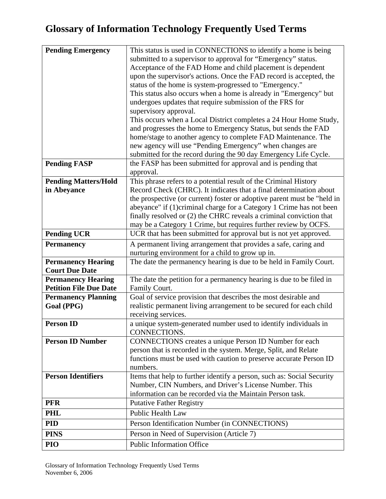| <b>Pending Emergency</b>      | This status is used in CONNECTIONS to identify a home is being                                                                                |
|-------------------------------|-----------------------------------------------------------------------------------------------------------------------------------------------|
|                               | submitted to a supervisor to approval for "Emergency" status.                                                                                 |
|                               | Acceptance of the FAD Home and child placement is dependent                                                                                   |
|                               | upon the supervisor's actions. Once the FAD record is accepted, the                                                                           |
|                               | status of the home is system-progressed to "Emergency."                                                                                       |
|                               | This status also occurs when a home is already in "Emergency" but                                                                             |
|                               | undergoes updates that require submission of the FRS for                                                                                      |
|                               | supervisory approval.                                                                                                                         |
|                               | This occurs when a Local District completes a 24 Hour Home Study,                                                                             |
|                               | and progresses the home to Emergency Status, but sends the FAD                                                                                |
|                               | home/stage to another agency to complete FAD Maintenance. The                                                                                 |
|                               | new agency will use "Pending Emergency" when changes are                                                                                      |
|                               | submitted for the record during the 90 day Emergency Life Cycle.                                                                              |
| <b>Pending FASP</b>           | the FASP has been submitted for approval and is pending that                                                                                  |
|                               | approval.                                                                                                                                     |
| <b>Pending Matters/Hold</b>   | This phrase refers to a potential result of the Criminal History                                                                              |
| in Abeyance                   | Record Check (CHRC). It indicates that a final determination about<br>the prospective (or current) foster or adoptive parent must be "held in |
|                               | abeyance" if (1)criminal charge for a Category 1 Crime has not been                                                                           |
|                               | finally resolved or (2) the CHRC reveals a criminal conviction that                                                                           |
|                               | may be a Category 1 Crime, but requires further review by OCFS.                                                                               |
| <b>Pending UCR</b>            | UCR that has been submitted for approval but is not yet approved.                                                                             |
| <b>Permanency</b>             | A permanent living arrangement that provides a safe, caring and                                                                               |
|                               | nurturing environment for a child to grow up in.                                                                                              |
| <b>Permanency Hearing</b>     | The date the permanency hearing is due to be held in Family Court.                                                                            |
| <b>Court Due Date</b>         |                                                                                                                                               |
| <b>Permanency Hearing</b>     | The date the petition for a permanency hearing is due to be filed in                                                                          |
| <b>Petition File Due Date</b> | Family Court.                                                                                                                                 |
| <b>Permanency Planning</b>    | Goal of service provision that describes the most desirable and                                                                               |
| Goal (PPG)                    | realistic permanent living arrangement to be secured for each child                                                                           |
|                               | receiving services.                                                                                                                           |
| <b>Person ID</b>              | a unique system-generated number used to identify individuals in                                                                              |
|                               | CONNECTIONS.                                                                                                                                  |
| <b>Person ID Number</b>       | CONNECTIONS creates a unique Person ID Number for each                                                                                        |
|                               | person that is recorded in the system. Merge, Split, and Relate                                                                               |
|                               | functions must be used with caution to preserve accurate Person ID                                                                            |
|                               | numbers.                                                                                                                                      |
| <b>Person Identifiers</b>     | Items that help to further identify a person, such as: Social Security                                                                        |
|                               | Number, CIN Numbers, and Driver's License Number. This                                                                                        |
|                               | information can be recorded via the Maintain Person task.                                                                                     |
| <b>PFR</b>                    | <b>Putative Father Registry</b>                                                                                                               |
| <b>PHL</b>                    | <b>Public Health Law</b>                                                                                                                      |
| <b>PID</b>                    | Person Identification Number (in CONNECTIONS)                                                                                                 |
| <b>PINS</b>                   | Person in Need of Supervision (Article 7)                                                                                                     |
| PIO                           | <b>Public Information Office</b>                                                                                                              |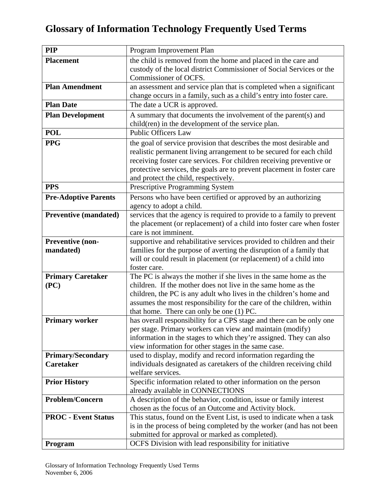| <b>PIP</b>                                   | Program Improvement Plan                                                                                                                   |
|----------------------------------------------|--------------------------------------------------------------------------------------------------------------------------------------------|
| <b>Placement</b>                             | the child is removed from the home and placed in the care and                                                                              |
|                                              | custody of the local district Commissioner of Social Services or the                                                                       |
|                                              | Commissioner of OCFS.                                                                                                                      |
| <b>Plan Amendment</b>                        | an assessment and service plan that is completed when a significant                                                                        |
|                                              | change occurs in a family, such as a child's entry into foster care.                                                                       |
| <b>Plan Date</b>                             | The date a UCR is approved.                                                                                                                |
| <b>Plan Development</b>                      | A summary that documents the involvement of the parent(s) and                                                                              |
| <b>POL</b>                                   | child(ren) in the development of the service plan.<br><b>Public Officers Law</b>                                                           |
|                                              |                                                                                                                                            |
| <b>PPG</b>                                   | the goal of service provision that describes the most desirable and<br>realistic permanent living arrangement to be secured for each child |
|                                              | receiving foster care services. For children receiving preventive or                                                                       |
|                                              | protective services, the goals are to prevent placement in foster care                                                                     |
|                                              | and protect the child, respectively.                                                                                                       |
| <b>PPS</b>                                   | Prescriptive Programming System                                                                                                            |
| <b>Pre-Adoptive Parents</b>                  | Persons who have been certified or approved by an authorizing                                                                              |
|                                              | agency to adopt a child.                                                                                                                   |
| <b>Preventive (mandated)</b>                 | services that the agency is required to provide to a family to prevent                                                                     |
|                                              | the placement (or replacement) of a child into foster care when foster                                                                     |
|                                              | care is not imminent.                                                                                                                      |
| Preventive (non-                             | supportive and rehabilitative services provided to children and their                                                                      |
| mandated)                                    | families for the purpose of averting the disruption of a family that                                                                       |
|                                              | will or could result in placement (or replacement) of a child into<br>foster care.                                                         |
| <b>Primary Caretaker</b>                     | The PC is always the mother if she lives in the same home as the                                                                           |
| (PC)                                         | children. If the mother does not live in the same home as the                                                                              |
|                                              | children, the PC is any adult who lives in the children's home and                                                                         |
|                                              | assumes the most responsibility for the care of the children, within                                                                       |
|                                              | that home. There can only be one (1) PC.                                                                                                   |
| <b>Primary worker</b>                        | has overall responsibility for a CPS stage and there can be only one                                                                       |
|                                              | per stage. Primary workers can view and maintain (modify)                                                                                  |
|                                              | information in the stages to which they're assigned. They can also                                                                         |
|                                              | view information for other stages in the same case.                                                                                        |
| <b>Primary/Secondary</b><br><b>Caretaker</b> | used to display, modify and record information regarding the<br>individuals designated as caretakers of the children receiving child       |
|                                              | welfare services.                                                                                                                          |
| <b>Prior History</b>                         | Specific information related to other information on the person                                                                            |
|                                              | already available in CONNECTIONS                                                                                                           |
| <b>Problem/Concern</b>                       | A description of the behavior, condition, issue or family interest                                                                         |
|                                              | chosen as the focus of an Outcome and Activity block.                                                                                      |
| <b>PROC</b> - Event Status                   | This status, found on the Event List, is used to indicate when a task                                                                      |
|                                              | is in the process of being completed by the worker (and has not been                                                                       |
|                                              | submitted for approval or marked as completed).                                                                                            |
| Program                                      | OCFS Division with lead responsibility for initiative                                                                                      |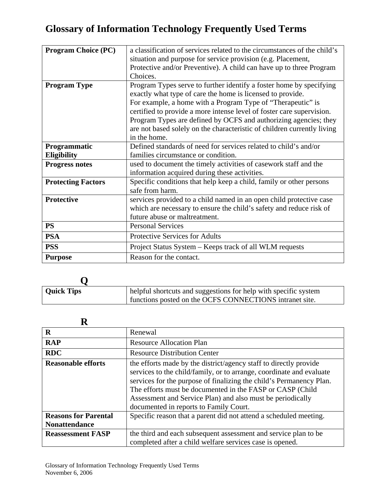| <b>Program Choice (PC)</b> | a classification of services related to the circumstances of the child's |
|----------------------------|--------------------------------------------------------------------------|
|                            | situation and purpose for service provision (e.g. Placement,             |
|                            | Protective and/or Preventive). A child can have up to three Program      |
|                            | Choices.                                                                 |
| <b>Program Type</b>        | Program Types serve to further identify a foster home by specifying      |
|                            | exactly what type of care the home is licensed to provide.               |
|                            | For example, a home with a Program Type of "Therapeutic" is              |
|                            | certified to provide a more intense level of foster care supervision.    |
|                            | Program Types are defined by OCFS and authorizing agencies; they         |
|                            | are not based solely on the characteristic of children currently living  |
|                            | in the home.                                                             |
| Programmatic               | Defined standards of need for services related to child's and/or         |
| <b>Eligibility</b>         | families circumstance or condition.                                      |
| <b>Progress notes</b>      | used to document the timely activities of casework staff and the         |
|                            | information acquired during these activities.                            |
| <b>Protecting Factors</b>  | Specific conditions that help keep a child, family or other persons      |
|                            | safe from harm.                                                          |
| <b>Protective</b>          | services provided to a child named in an open child protective case      |
|                            | which are necessary to ensure the child's safety and reduce risk of      |
|                            | future abuse or maltreatment.                                            |
| <b>PS</b>                  | <b>Personal Services</b>                                                 |
| <b>PSA</b>                 | <b>Protective Services for Adults</b>                                    |
| <b>PSS</b>                 | Project Status System – Keeps track of all WLM requests                  |
| <b>Purpose</b>             | Reason for the contact.                                                  |

| <b>Quick Tips</b> | helpful shortcuts and suggestions for help with specific system<br>functions posted on the OCFS CONNECTIONS intranet site. |
|-------------------|----------------------------------------------------------------------------------------------------------------------------|
|                   |                                                                                                                            |

| $\bf R$                     | Renewal                                                                                                                                                                                                                                                                                                                                                                               |
|-----------------------------|---------------------------------------------------------------------------------------------------------------------------------------------------------------------------------------------------------------------------------------------------------------------------------------------------------------------------------------------------------------------------------------|
| <b>RAP</b>                  | <b>Resource Allocation Plan</b>                                                                                                                                                                                                                                                                                                                                                       |
| <b>RDC</b>                  | <b>Resource Distribution Center</b>                                                                                                                                                                                                                                                                                                                                                   |
| <b>Reasonable efforts</b>   | the efforts made by the district/agency staff to directly provide<br>services to the child/family, or to arrange, coordinate and evaluate<br>services for the purpose of finalizing the child's Permanency Plan.<br>The efforts must be documented in the FASP or CASP (Child<br>Assessment and Service Plan) and also must be periodically<br>documented in reports to Family Court. |
| <b>Reasons for Parental</b> | Specific reason that a parent did not attend a scheduled meeting.                                                                                                                                                                                                                                                                                                                     |
| <b>Nonattendance</b>        |                                                                                                                                                                                                                                                                                                                                                                                       |
| <b>Reassessment FASP</b>    | the third and each subsequent assessment and service plan to be<br>completed after a child welfare services case is opened.                                                                                                                                                                                                                                                           |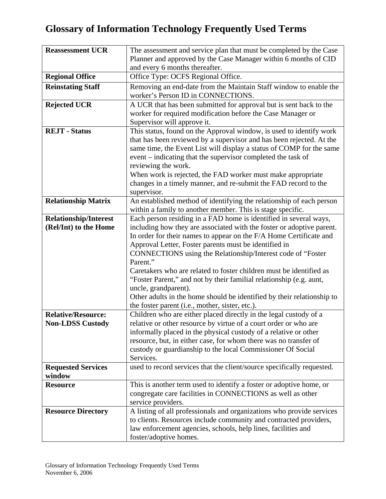| <b>Reassessment UCR</b>      | The assessment and service plan that must be completed by the Case                          |
|------------------------------|---------------------------------------------------------------------------------------------|
|                              | Planner and approved by the Case Manager within 6 months of CID                             |
|                              | and every 6 months thereafter.                                                              |
| <b>Regional Office</b>       | Office Type: OCFS Regional Office.                                                          |
| <b>Reinstating Staff</b>     | Removing an end-date from the Maintain Staff window to enable the                           |
|                              | worker's Person ID in CONNECTIONS.                                                          |
| <b>Rejected UCR</b>          | A UCR that has been submitted for approval but is sent back to the                          |
|                              | worker for required modification before the Case Manager or                                 |
|                              | Supervisor will approve it.                                                                 |
| <b>REJT</b> - Status         | This status, found on the Approval window, is used to identify work                         |
|                              | that has been reviewed by a supervisor and has been rejected. At the                        |
|                              | same time, the Event List will display a status of COMP for the same                        |
|                              | event – indicating that the supervisor completed the task of                                |
|                              | reviewing the work.                                                                         |
|                              | When work is rejected, the FAD worker must make appropriate                                 |
|                              | changes in a timely manner, and re-submit the FAD record to the                             |
|                              | supervisor.<br>An established method of identifying the relationship of each person         |
| <b>Relationship Matrix</b>   | within a family to another member. This is stage specific.                                  |
| <b>Relationship/Interest</b> | Each person residing in a FAD home is identified in several ways,                           |
| (Rel/Int) to the Home        | including how they are associated with the foster or adoptive parent.                       |
|                              | In order for their names to appear on the F/A Home Certificate and                          |
|                              | Approval Letter, Foster parents must be identified in                                       |
|                              | CONNECTIONS using the Relationship/Interest code of "Foster                                 |
|                              | Parent."                                                                                    |
|                              | Caretakers who are related to foster children must be identified as                         |
|                              | "Foster Parent," and not by their familial relationship (e.g. aunt,                         |
|                              | uncle, grandparent).                                                                        |
|                              | Other adults in the home should be identified by their relationship to                      |
|                              | the foster parent (i.e., mother, sister, etc.).                                             |
| <b>Relative/Resource:</b>    | Children who are either placed directly in the legal custody of a                           |
| <b>Non-LDSS Custody</b>      | relative or other resource by virtue of a court order or who are                            |
|                              | informally placed in the physical custody of a relative or other                            |
|                              | resource, but, in either case, for whom there was no transfer of                            |
|                              | custody or guardianship to the local Commissioner Of Social                                 |
|                              | Services.                                                                                   |
| <b>Requested Services</b>    | used to record services that the client/source specifically requested.                      |
| window                       |                                                                                             |
| <b>Resource</b>              | This is another term used to identify a foster or adoptive home, or                         |
|                              | congregate care facilities in CONNECTIONS as well as other                                  |
|                              | service providers.<br>A listing of all professionals and organizations who provide services |
| <b>Resource Directory</b>    | to clients. Resources include community and contracted providers,                           |
|                              | law enforcement agencies, schools, help lines, facilities and                               |
|                              | foster/adoptive homes.                                                                      |
|                              |                                                                                             |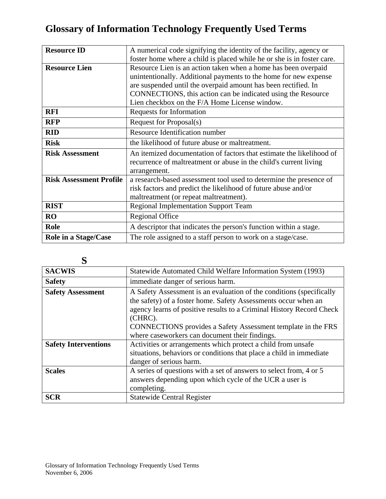| <b>Resource ID</b>             | A numerical code signifying the identity of the facility, agency or                                                                                                                                                                                                                                                   |
|--------------------------------|-----------------------------------------------------------------------------------------------------------------------------------------------------------------------------------------------------------------------------------------------------------------------------------------------------------------------|
|                                | foster home where a child is placed while he or she is in foster care.                                                                                                                                                                                                                                                |
| <b>Resource Lien</b>           | Resource Lien is an action taken when a home has been overpaid<br>unintentionally. Additional payments to the home for new expense<br>are suspended until the overpaid amount has been rectified. In<br>CONNECTIONS, this action can be indicated using the Resource<br>Lien checkbox on the F/A Home License window. |
| <b>RFI</b>                     | Requests for Information                                                                                                                                                                                                                                                                                              |
| <b>RFP</b>                     | Request for Proposal(s)                                                                                                                                                                                                                                                                                               |
| <b>RID</b>                     | Resource Identification number                                                                                                                                                                                                                                                                                        |
| <b>Risk</b>                    | the likelihood of future abuse or maltreatment.                                                                                                                                                                                                                                                                       |
| <b>Risk Assessment</b>         | An itemized documentation of factors that estimate the likelihood of<br>recurrence of maltreatment or abuse in the child's current living<br>arrangement.                                                                                                                                                             |
| <b>Risk Assessment Profile</b> | a research-based assessment tool used to determine the presence of<br>risk factors and predict the likelihood of future abuse and/or<br>maltreatment (or repeat maltreatment).                                                                                                                                        |
| <b>RIST</b>                    | <b>Regional Implementation Support Team</b>                                                                                                                                                                                                                                                                           |
| <b>RO</b>                      | <b>Regional Office</b>                                                                                                                                                                                                                                                                                                |
| <b>Role</b>                    | A descriptor that indicates the person's function within a stage.                                                                                                                                                                                                                                                     |
| Role in a Stage/Case           | The role assigned to a staff person to work on a stage/case.                                                                                                                                                                                                                                                          |

| S                           |                                                                                                                                                                                                                                                                                                                                             |
|-----------------------------|---------------------------------------------------------------------------------------------------------------------------------------------------------------------------------------------------------------------------------------------------------------------------------------------------------------------------------------------|
| <b>SACWIS</b>               | Statewide Automated Child Welfare Information System (1993)                                                                                                                                                                                                                                                                                 |
| <b>Safety</b>               | immediate danger of serious harm.                                                                                                                                                                                                                                                                                                           |
| <b>Safety Assessment</b>    | A Safety Assessment is an evaluation of the conditions (specifically<br>the safety) of a foster home. Safety Assessments occur when an<br>agency learns of positive results to a Criminal History Record Check<br>(CHRC).<br>CONNECTIONS provides a Safety Assessment template in the FRS<br>where caseworkers can document their findings. |
| <b>Safety Interventions</b> | Activities or arrangements which protect a child from unsafe<br>situations, behaviors or conditions that place a child in immediate<br>danger of serious harm.                                                                                                                                                                              |
| <b>Scales</b>               | A series of questions with a set of answers to select from, 4 or 5<br>answers depending upon which cycle of the UCR a user is<br>completing.                                                                                                                                                                                                |
| <b>SCR</b>                  | <b>Statewide Central Register</b>                                                                                                                                                                                                                                                                                                           |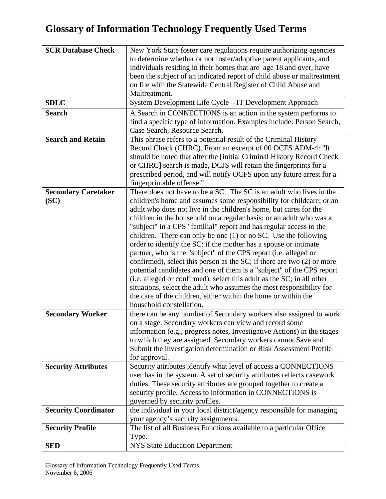| <b>SCR Database Check</b>   | New York State foster care regulations require authorizing agencies     |
|-----------------------------|-------------------------------------------------------------------------|
|                             | to determine whether or not foster/adoptive parent applicants, and      |
|                             | individuals residing in their homes that are age 18 and over, have      |
|                             | been the subject of an indicated report of child abuse or maltreatment  |
|                             | on file with the Statewide Central Register of Child Abuse and          |
|                             | Maltreatment.                                                           |
| <b>SDLC</b>                 | System Development Life Cycle - IT Development Approach                 |
| <b>Search</b>               | A Search in CONNECTIONS is an action in the system performs to          |
|                             | find a specific type of information. Examples include: Person Search,   |
|                             | Case Search, Resource Search.                                           |
| <b>Search and Retain</b>    | This phrase refers to a potential result of the Criminal History        |
|                             | Record Check (CHRC). From an excerpt of 00 OCFS ADM-4: "It              |
|                             | should be noted that after the [initial Criminal History Record Check   |
|                             | or CHRC] search is made, DCJS will retain the fingerprints for a        |
|                             | prescribed period, and will notify OCFS upon any future arrest for a    |
|                             | fingerprintable offense."                                               |
| <b>Secondary Caretaker</b>  | There does not have to be a SC. The SC is an adult who lives in the     |
| (SC)                        | children's home and assumes some responsibility for childcare; or an    |
|                             | adult who does not live in the children's home, but cares for the       |
|                             | children in the household on a regular basis; or an adult who was a     |
|                             | "subject" in a CPS "familial" report and has regular access to the      |
|                             | children. There can only be one $(1)$ or no SC. Use the following       |
|                             | order to identify the SC: if the mother has a spouse or intimate        |
|                             | partner, who is the "subject" of the CPS report (i.e. alleged or        |
|                             | confirmed), select this person as the SC; if there are two (2) or more  |
|                             | potential candidates and one of them is a "subject" of the CPS report   |
|                             | (i.e. alleged or confirmed), select this adult as the SC; in all other  |
|                             | situations, select the adult who assumes the most responsibility for    |
|                             | the care of the children, either within the home or within the          |
|                             | household constellation.                                                |
| <b>Secondary Worker</b>     | there can be any number of Secondary workers also assigned to work      |
|                             | on a stage. Secondary workers can view and record some                  |
|                             | information (e.g., progress notes, Investigative Actions) in the stages |
|                             | to which they are assigned. Secondary workers cannot Save and           |
|                             | Submit the investigation determination or Risk Assessment Profile       |
|                             | for approval.                                                           |
| <b>Security Attributes</b>  | Security attributes identify what level of access a CONNECTIONS         |
|                             | user has in the system. A set of security attributes reflects casework  |
|                             | duties. These security attributes are grouped together to create a      |
|                             | security profile. Access to information in CONNECTIONS is               |
|                             | governed by security profiles.                                          |
| <b>Security Coordinator</b> | the individual in your local district/agency responsible for managing   |
|                             | your agency's security assignments.                                     |
| <b>Security Profile</b>     | The list of all Business Functions available to a particular Office     |
|                             | Type.                                                                   |
| <b>SED</b>                  | <b>NYS State Education Department</b>                                   |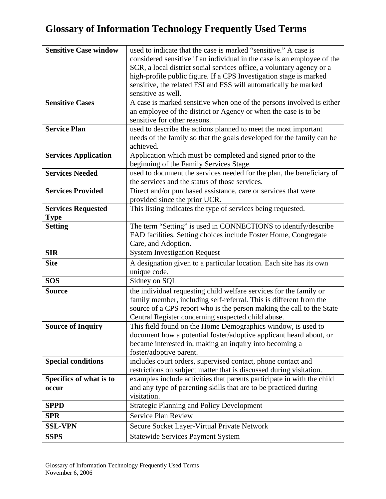| <b>Sensitive Case window</b> | used to indicate that the case is marked "sensitive." A case is         |
|------------------------------|-------------------------------------------------------------------------|
|                              | considered sensitive if an individual in the case is an employee of the |
|                              | SCR, a local district social services office, a voluntary agency or a   |
|                              | high-profile public figure. If a CPS Investigation stage is marked      |
|                              | sensitive, the related FSI and FSS will automatically be marked         |
|                              | sensitive as well.                                                      |
| <b>Sensitive Cases</b>       | A case is marked sensitive when one of the persons involved is either   |
|                              | an employee of the district or Agency or when the case is to be         |
|                              | sensitive for other reasons.                                            |
| <b>Service Plan</b>          | used to describe the actions planned to meet the most important         |
|                              | needs of the family so that the goals developed for the family can be   |
|                              | achieved.                                                               |
| <b>Services Application</b>  | Application which must be completed and signed prior to the             |
|                              | beginning of the Family Services Stage.                                 |
| <b>Services Needed</b>       | used to document the services needed for the plan, the beneficiary of   |
|                              | the services and the status of those services.                          |
| <b>Services Provided</b>     | Direct and/or purchased assistance, care or services that were          |
|                              | provided since the prior UCR.                                           |
| <b>Services Requested</b>    | This listing indicates the type of services being requested.            |
| <b>Type</b>                  |                                                                         |
| <b>Setting</b>               | The term "Setting" is used in CONNECTIONS to identify/describe          |
|                              | FAD facilities. Setting choices include Foster Home, Congregate         |
|                              | Care, and Adoption.                                                     |
| <b>SIR</b>                   | <b>System Investigation Request</b>                                     |
| <b>Site</b>                  | A designation given to a particular location. Each site has its own     |
|                              | unique code.                                                            |
| <b>SOS</b>                   | Sidney on SQL                                                           |
| <b>Source</b>                | the individual requesting child welfare services for the family or      |
|                              | family member, including self-referral. This is different from the      |
|                              | source of a CPS report who is the person making the call to the State   |
|                              | Central Register concerning suspected child abuse.                      |
| <b>Source of Inquiry</b>     | This field found on the Home Demographics window, is used to            |
|                              | document how a potential foster/adoptive applicant heard about, or      |
|                              | became interested in, making an inquiry into becoming a                 |
|                              | foster/adoptive parent.                                                 |
| <b>Special conditions</b>    | includes court orders, supervised contact, phone contact and            |
|                              | restrictions on subject matter that is discussed during visitation.     |
| Specifics of what is to      | examples include activities that parents participate in with the child  |
| occur                        | and any type of parenting skills that are to be practiced during        |
|                              | visitation.                                                             |
| <b>SPPD</b>                  | <b>Strategic Planning and Policy Development</b>                        |
| <b>SPR</b>                   | <b>Service Plan Review</b>                                              |
| <b>SSL-VPN</b>               | Secure Socket Layer-Virtual Private Network                             |
| <b>SSPS</b>                  | <b>Statewide Services Payment System</b>                                |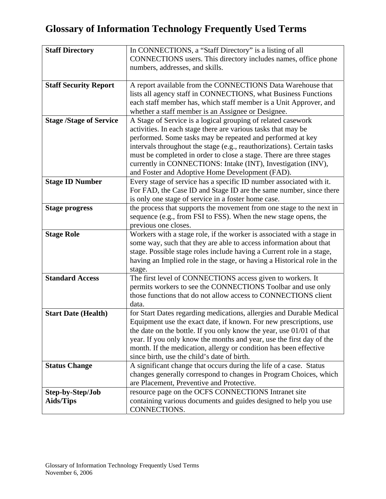| <b>Staff Directory</b>         | In CONNECTIONS, a "Staff Directory" is a listing of all                 |
|--------------------------------|-------------------------------------------------------------------------|
|                                | CONNECTIONS users. This directory includes names, office phone          |
|                                | numbers, addresses, and skills.                                         |
|                                |                                                                         |
| <b>Staff Security Report</b>   | A report available from the CONNECTIONS Data Warehouse that             |
|                                | lists all agency staff in CONNECTIONS, what Business Functions          |
|                                | each staff member has, which staff member is a Unit Approver, and       |
|                                | whether a staff member is an Assignee or Designee.                      |
| <b>Stage /Stage of Service</b> | A Stage of Service is a logical grouping of related casework            |
|                                | activities. In each stage there are various tasks that may be           |
|                                | performed. Some tasks may be repeated and performed at key              |
|                                | intervals throughout the stage (e.g., reauthorizations). Certain tasks  |
|                                | must be completed in order to close a stage. There are three stages     |
|                                | currently in CONNECTIONS: Intake (INT), Investigation (INV),            |
|                                | and Foster and Adoptive Home Development (FAD).                         |
| <b>Stage ID Number</b>         | Every stage of service has a specific ID number associated with it.     |
|                                | For FAD, the Case ID and Stage ID are the same number, since there      |
|                                | is only one stage of service in a foster home case.                     |
| <b>Stage progress</b>          | the process that supports the movement from one stage to the next in    |
|                                | sequence (e.g., from FSI to FSS). When the new stage opens, the         |
|                                | previous one closes.                                                    |
| <b>Stage Role</b>              | Workers with a stage role, if the worker is associated with a stage in  |
|                                | some way, such that they are able to access information about that      |
|                                | stage. Possible stage roles include having a Current role in a stage,   |
|                                | having an Implied role in the stage, or having a Historical role in the |
|                                | stage.                                                                  |
| <b>Standard Access</b>         | The first level of CONNECTIONS access given to workers. It              |
|                                | permits workers to see the CONNECTIONS Toolbar and use only             |
|                                | those functions that do not allow access to CONNECTIONS client          |
|                                | data.                                                                   |
| <b>Start Date (Health)</b>     | for Start Dates regarding medications, allergies and Durable Medical    |
|                                | Equipment use the exact date, if known. For new prescriptions, use      |
|                                | the date on the bottle. If you only know the year, use 01/01 of that    |
|                                | year. If you only know the months and year, use the first day of the    |
|                                | month. If the medication, allergy or condition has been effective       |
|                                | since birth, use the child's date of birth.                             |
| <b>Status Change</b>           | A significant change that occurs during the life of a case. Status      |
|                                | changes generally correspond to changes in Program Choices, which       |
|                                | are Placement, Preventive and Protective.                               |
| Step-by-Step/Job               | resource page on the OCFS CONNECTIONS Intranet site                     |
| <b>Aids/Tips</b>               | containing various documents and guides designed to help you use        |
|                                | CONNECTIONS.                                                            |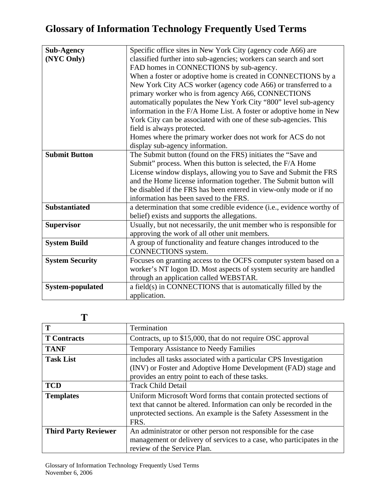| <b>Sub-Agency</b>      | Specific office sites in New York City (agency code A66) are          |
|------------------------|-----------------------------------------------------------------------|
| (NYC Only)             | classified further into sub-agencies; workers can search and sort     |
|                        | FAD homes in CONNECTIONS by sub-agency.                               |
|                        | When a foster or adoptive home is created in CONNECTIONS by a         |
|                        | New York City ACS worker (agency code A66) or transferred to a        |
|                        | primary worker who is from agency A66, CONNECTIONS                    |
|                        | automatically populates the New York City "800" level sub-agency      |
|                        | information in the F/A Home List. A foster or adoptive home in New    |
|                        | York City can be associated with one of these sub-agencies. This      |
|                        | field is always protected.                                            |
|                        | Homes where the primary worker does not work for ACS do not           |
|                        | display sub-agency information.                                       |
| <b>Submit Button</b>   | The Submit button (found on the FRS) initiates the "Save and          |
|                        | Submit" process. When this button is selected, the F/A Home           |
|                        | License window displays, allowing you to Save and Submit the FRS      |
|                        | and the Home license information together. The Submit button will     |
|                        | be disabled if the FRS has been entered in view-only mode or if no    |
|                        | information has been saved to the FRS.                                |
| <b>Substantiated</b>   | a determination that some credible evidence (i.e., evidence worthy of |
|                        | belief) exists and supports the allegations.                          |
| <b>Supervisor</b>      | Usually, but not necessarily, the unit member who is responsible for  |
|                        | approving the work of all other unit members.                         |
| <b>System Build</b>    | A group of functionality and feature changes introduced to the        |
|                        | CONNECTIONS system.                                                   |
| <b>System Security</b> | Focuses on granting access to the OCFS computer system based on a     |
|                        | worker's NT logon ID. Most aspects of system security are handled     |
|                        | through an application called WEBSTAR.                                |
| System-populated       | a field(s) in CONNECTIONS that is automatically filled by the         |
|                        | application.                                                          |

#### **T**

| T                           | Termination                                                                                                                                                                                                         |
|-----------------------------|---------------------------------------------------------------------------------------------------------------------------------------------------------------------------------------------------------------------|
| <b>T</b> Contracts          | Contracts, up to \$15,000, that do not require OSC approval                                                                                                                                                         |
| <b>TANF</b>                 | <b>Temporary Assistance to Needy Families</b>                                                                                                                                                                       |
| <b>Task List</b>            | includes all tasks associated with a particular CPS Investigation<br>(INV) or Foster and Adoptive Home Development (FAD) stage and<br>provides an entry point to each of these tasks.                               |
| <b>TCD</b>                  | <b>Track Child Detail</b>                                                                                                                                                                                           |
| <b>Templates</b>            | Uniform Microsoft Word forms that contain protected sections of<br>text that cannot be altered. Information can only be recorded in the<br>unprotected sections. An example is the Safety Assessment in the<br>FRS. |
| <b>Third Party Reviewer</b> | An administrator or other person not responsible for the case<br>management or delivery of services to a case, who participates in the<br>review of the Service Plan.                                               |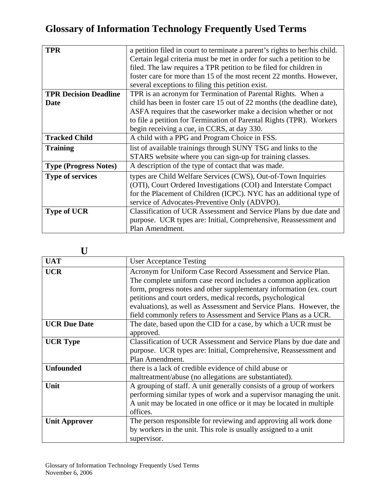| a petition filed in court to terminate a parent's rights to her/his child. |
|----------------------------------------------------------------------------|
| Certain legal criteria must be met in order for such a petition to be      |
| filed. The law requires a TPR petition to be filed for children in         |
| foster care for more than 15 of the most recent 22 months. However,        |
| several exceptions to filing this petition exist.                          |
| TPR is an acronym for Termination of Parental Rights. When a               |
| child has been in foster care 15 out of 22 months (the deadline date),     |
| ASFA requires that the caseworker make a decision whether or not           |
| to file a petition for Termination of Parental Rights (TPR). Workers       |
| begin receiving a cue, in CCRS, at day 330.                                |
| A child with a PPG and Program Choice in FSS.                              |
| list of available trainings through SUNY TSG and links to the              |
| STARS website where you can sign-up for training classes.                  |
| A description of the type of contact that was made.                        |
| types are Child Welfare Services (CWS), Out-of-Town Inquiries              |
| (OTI), Court Ordered Investigations (COI) and Interstate Compact           |
| for the Placement of Children (ICPC). NYC has an additional type of        |
| service of Advocates-Preventive Only (ADVPO).                              |
| Classification of UCR Assessment and Service Plans by due date and         |
| purpose. UCR types are: Initial, Comprehensive, Reassessment and           |
| Plan Amendment.                                                            |
|                                                                            |

| $\mathbf I$ ]        |                                                                                                                                                                                                                                                                                                                                            |
|----------------------|--------------------------------------------------------------------------------------------------------------------------------------------------------------------------------------------------------------------------------------------------------------------------------------------------------------------------------------------|
| <b>UAT</b>           | <b>User Acceptance Testing</b>                                                                                                                                                                                                                                                                                                             |
| <b>UCR</b>           | Acronym for Uniform Case Record Assessment and Service Plan.<br>The complete uniform case record includes a common application<br>form, progress notes and other supplementary information (ex. court<br>petitions and court orders, medical records, psychological<br>evaluations), as well as Assessment and Service Plans. However, the |
| <b>UCR Due Date</b>  | field commonly refers to Assessment and Service Plans as a UCR.<br>The date, based upon the CID for a case, by which a UCR must be<br>approved.                                                                                                                                                                                            |
| <b>UCR Type</b>      | Classification of UCR Assessment and Service Plans by due date and<br>purpose. UCR types are: Initial, Comprehensive, Reassessment and<br>Plan Amendment.                                                                                                                                                                                  |
| <b>Unfounded</b>     | there is a lack of credible evidence of child abuse or<br>maltreatment/abuse (no allegations are substantiated).                                                                                                                                                                                                                           |
| Unit                 | A grouping of staff. A unit generally consists of a group of workers<br>performing similar types of work and a supervisor managing the unit.<br>A unit may be located in one office or it may be located in multiple<br>offices.                                                                                                           |
| <b>Unit Approver</b> | The person responsible for reviewing and approving all work done<br>by workers in the unit. This role is usually assigned to a unit<br>supervisor.                                                                                                                                                                                         |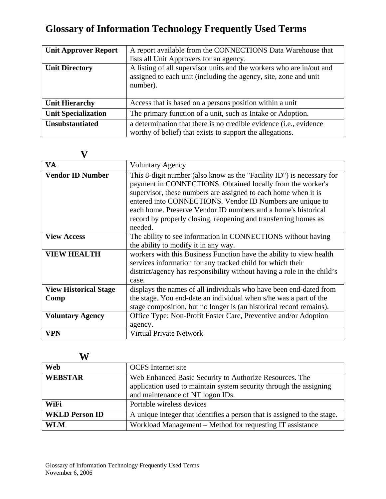| <b>Unit Approver Report</b> | A report available from the CONNECTIONS Data Warehouse that                                                                                          |
|-----------------------------|------------------------------------------------------------------------------------------------------------------------------------------------------|
|                             | lists all Unit Approvers for an agency.                                                                                                              |
| <b>Unit Directory</b>       | A listing of all supervisor units and the workers who are in/out and<br>assigned to each unit (including the agency, site, zone and unit<br>number). |
| <b>Unit Hierarchy</b>       | Access that is based on a persons position within a unit                                                                                             |
| <b>Unit Specialization</b>  | The primary function of a unit, such as Intake or Adoption.                                                                                          |
| <b>Unsubstantiated</b>      | a determination that there is no credible evidence (i.e., evidence                                                                                   |
|                             | worthy of belief) that exists to support the allegations.                                                                                            |

#### **V**

| <b>VA</b>                            | <b>Voluntary Agency</b>                                                                                                                                                                                                                                                                                                                                                                                           |
|--------------------------------------|-------------------------------------------------------------------------------------------------------------------------------------------------------------------------------------------------------------------------------------------------------------------------------------------------------------------------------------------------------------------------------------------------------------------|
| <b>Vendor ID Number</b>              | This 8-digit number (also know as the "Facility ID") is necessary for<br>payment in CONNECTIONS. Obtained locally from the worker's<br>supervisor, these numbers are assigned to each home when it is<br>entered into CONNECTIONS. Vendor ID Numbers are unique to<br>each home. Preserve Vendor ID numbers and a home's historical<br>record by properly closing, reopening and transferring homes as<br>needed. |
| <b>View Access</b>                   | The ability to see information in CONNECTIONS without having<br>the ability to modify it in any way.                                                                                                                                                                                                                                                                                                              |
| <b>VIEW HEALTH</b>                   | workers with this Business Function have the ability to view health<br>services information for any tracked child for which their<br>district/agency has responsibility without having a role in the child's<br>case.                                                                                                                                                                                             |
| <b>View Historical Stage</b><br>Comp | displays the names of all individuals who have been end-dated from<br>the stage. You end-date an individual when s/he was a part of the<br>stage composition, but no longer is (an historical record remains).                                                                                                                                                                                                    |
| <b>Voluntary Agency</b>              | Office Type: Non-Profit Foster Care, Preventive and/or Adoption<br>agency.                                                                                                                                                                                                                                                                                                                                        |
| <b>VPN</b>                           | Virtual Private Network                                                                                                                                                                                                                                                                                                                                                                                           |

**W** 

| Web                   | <b>OCFS</b> Internet site                                                |
|-----------------------|--------------------------------------------------------------------------|
| <b>WEBSTAR</b>        | Web Enhanced Basic Security to Authorize Resources. The                  |
|                       | application used to maintain system security through the assigning       |
|                       | and maintenance of NT logon IDs.                                         |
| WiFi                  | Portable wireless devices                                                |
| <b>WKLD Person ID</b> | A unique integer that identifies a person that is assigned to the stage. |
| <b>WLM</b>            | Workload Management – Method for requesting IT assistance                |